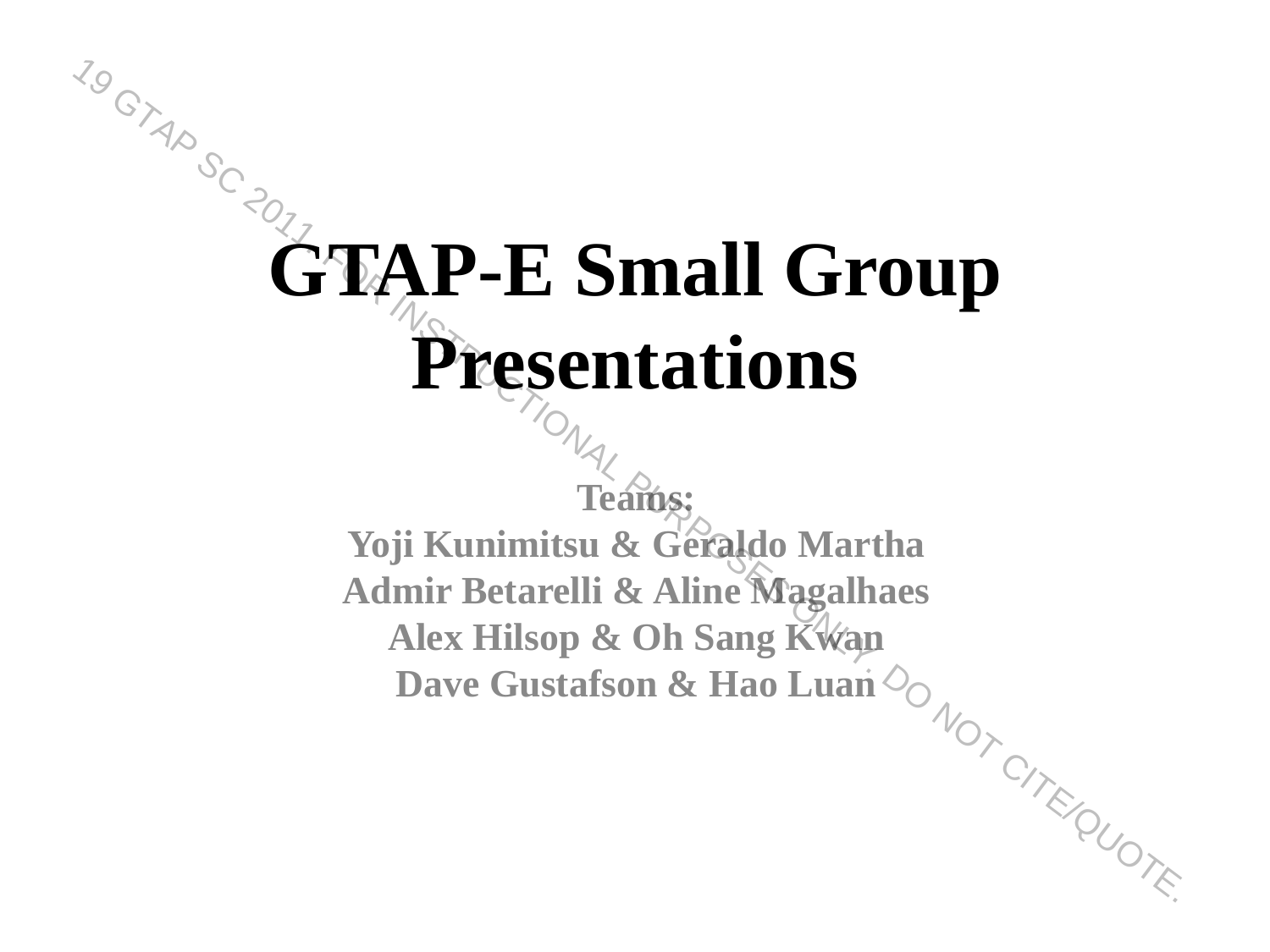# **GOVERT AP-E Small Group Presentations Dave Gustafson & Hao Luan** 19 GTAP SC 2011. FOR INSTRUCTIONAL PURPOSES ONLY. DO NOT CITE/QUOTE.

**Teams: Yoji Kunimitsu & Geraldo Martha Admir Betarelli & Aline Magalhaes Alex Hilsop & Oh Sang Kwan**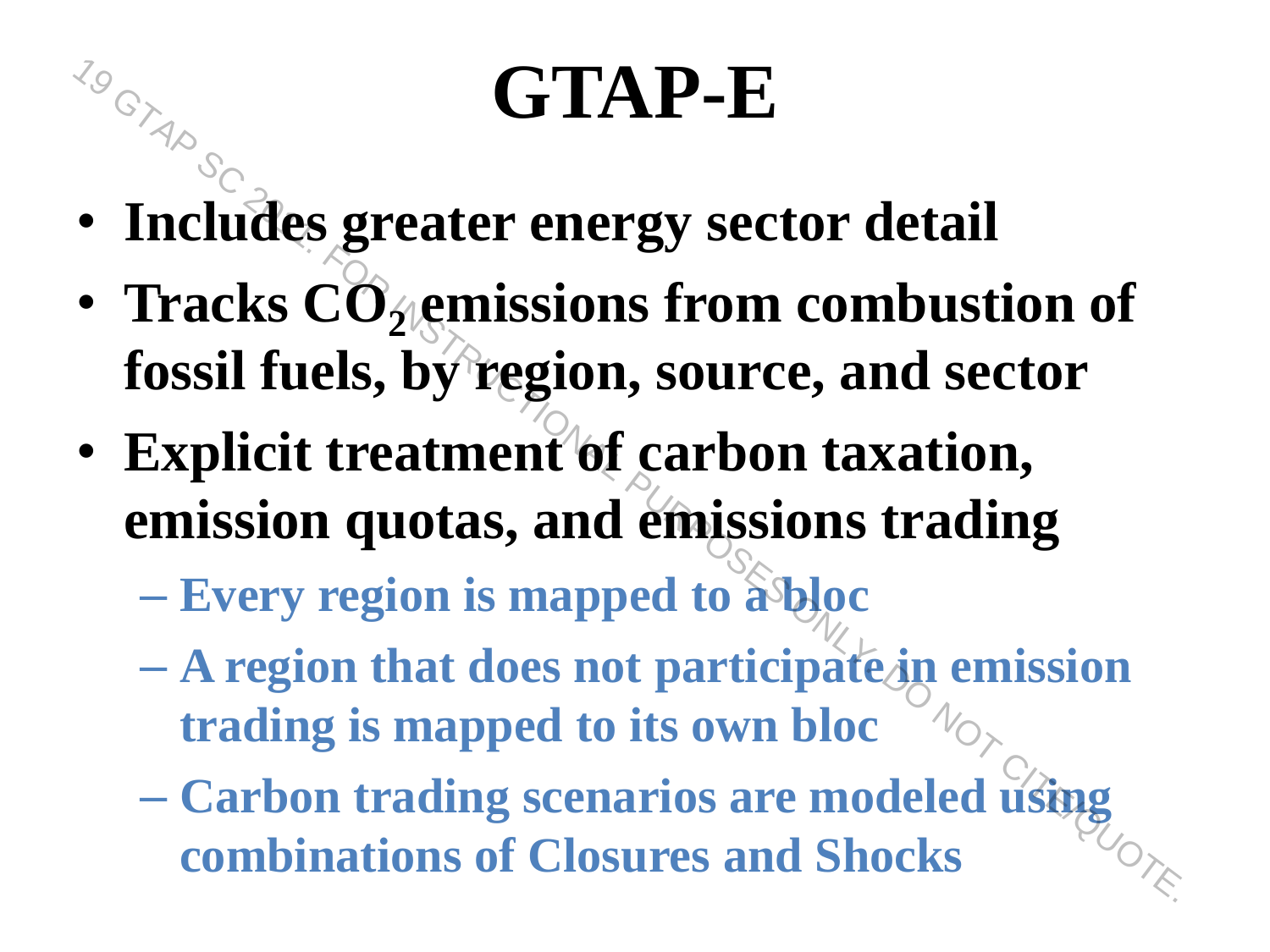#### **GTAP-E**

- **Includes greater energy sector detail**
	- **Tracks CO<sup>2</sup> emissions from combustion of fossil fuels, by region, source, and sector combinations of Closures and Shocks**<br> **combinations of combinations from combustion of**<br> **combinations of combinations of combinations**<br> **combinations and emissions trading**<br>  $\overline{C}$ - Every region is mapped to a bloc<br>
	- **Explicit treatment of carbon taxation, emission quotas, and emissions trading**

– **Every region is mapped to a bloc**

- **A region that does not participate in emission trading is mapped to its own bloc**
- **Carbon trading scenarios are modeled using**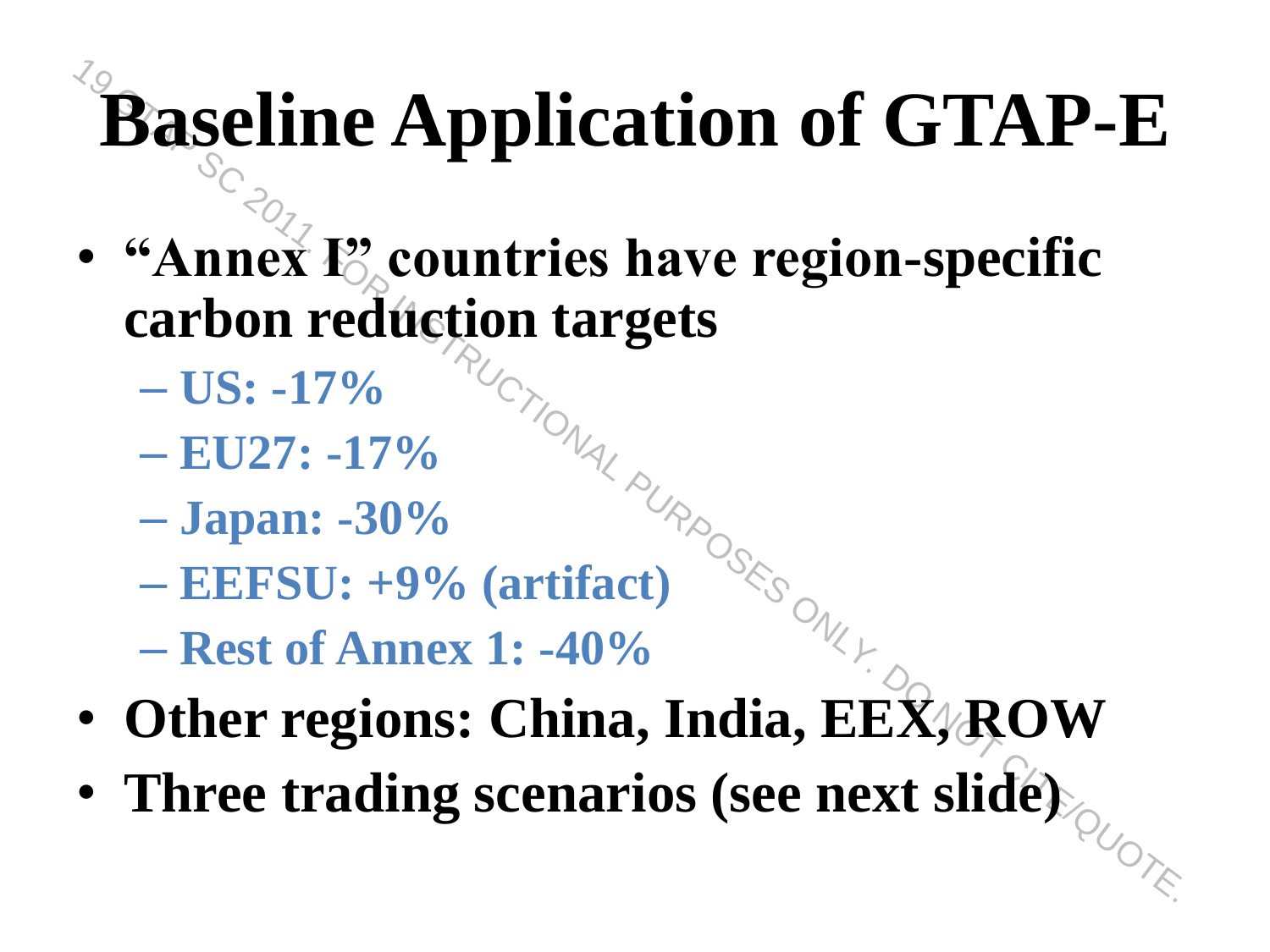#### **Baseline Application of GTAP-E**

- **"Annex E** countries have region-specific **carbon reduction targets Baseline Application of GTAP-E**<br>
• "Annex E<sub>2</sub> countries have region-specific<br>
carbon reduction targets<br>
– US: -17%<br>
– EU27: -17%<br>
– EU27: -17%<br>
– Japan: -30%<br>
– EEFSU: +9% (artifact)<br>
– Rest of Annex 1: -40%<br>
• Other re
	- **US: -17%**
	- **EU27: -17%**
	- **Japan: -30%**
	- **EEFSU: +9% (artifact)**
	- **Rest of Annex 1: -40%**
- **Other regions: China, India, EEX, ROW**
-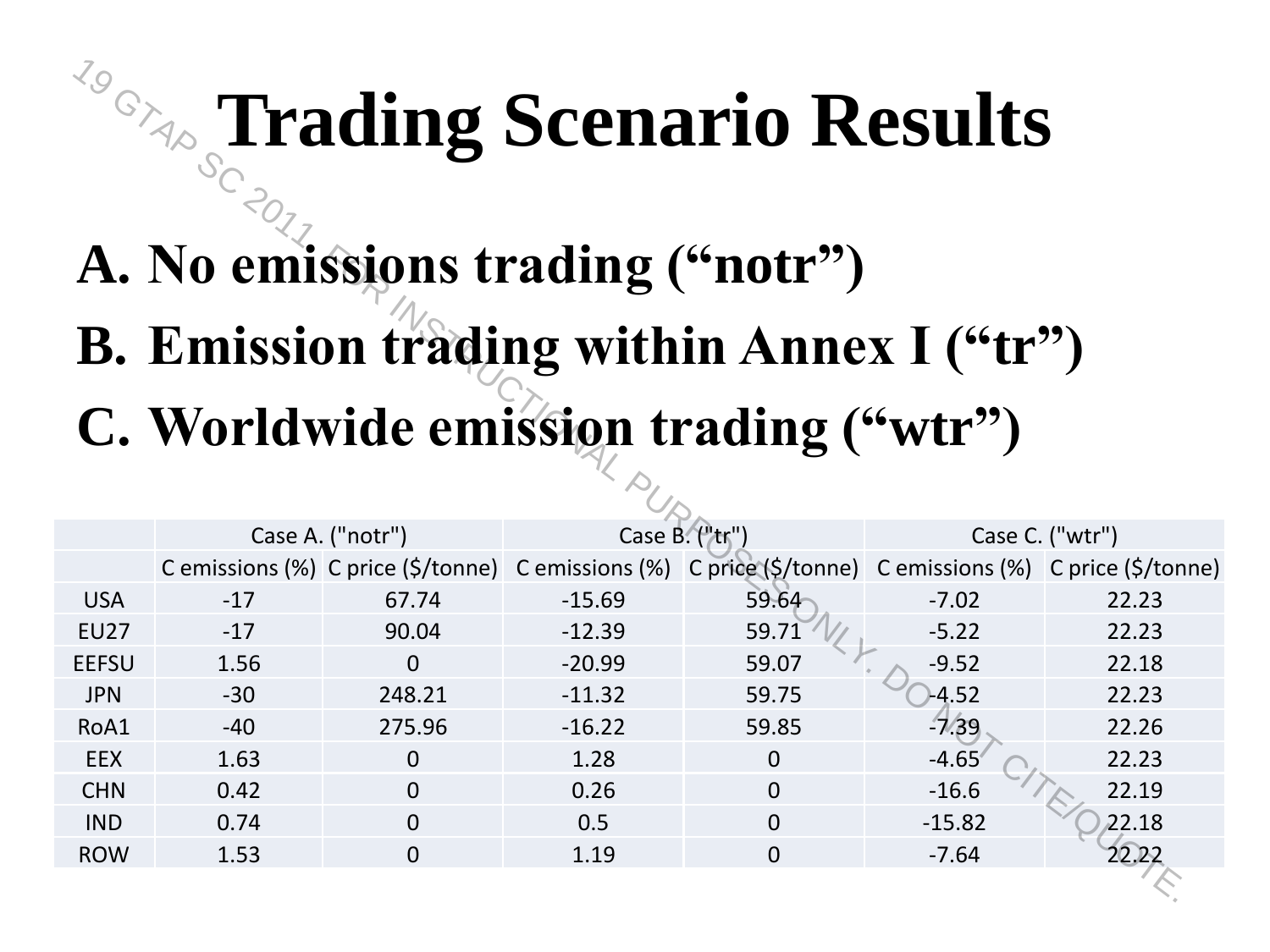#### **Trading Scenario Results**

#### **A. No emissions trading ("notr")**

#### **B. Emission trading within Annex I ("tr") C. Worldwide emission trading ("wtr")**

|              |       |                  |          | <sup>79</sup> Trading Scenario Results<br>A. No emissions trading ("notr")<br>B. Emission trading within Annex I ("tr")<br>C. Worldwide emission trading ("wtr") |          |                 |
|--------------|-------|------------------|----------|------------------------------------------------------------------------------------------------------------------------------------------------------------------|----------|-----------------|
|              |       | Case A. ("notr") |          | Case B. ("tr")                                                                                                                                                   |          | Case C. ("wtr") |
|              |       |                  |          | C emissions (%) C price (\$/tonne) C emissions (%) C price (\$/tonne) C emissions (%) C price (\$/tonne)                                                         |          |                 |
| <b>USA</b>   | $-17$ | 67.74            | $-15.69$ | 59.64                                                                                                                                                            | $-7.02$  | 22.23           |
| <b>EU27</b>  | $-17$ | 90.04            | $-12.39$ | 59.71                                                                                                                                                            | $-5.22$  | 22.23           |
| <b>EEFSU</b> | 1.56  | $\Omega$         | $-20.99$ | 59.07                                                                                                                                                            | $-9.52$  | 22.18           |
| <b>JPN</b>   | $-30$ | 248.21           | $-11.32$ | 59.75                                                                                                                                                            | $-4.52$  | 22.23           |
| RoA1         | $-40$ | 275.96           | $-16.22$ | 59.85                                                                                                                                                            | $-7.39$  | 22.26           |
| <b>EEX</b>   | 1.63  | $\Omega$         | 1.28     | $\overline{0}$                                                                                                                                                   | $-4.65$  | 22.23           |
| <b>CHN</b>   | 0.42  | $\Omega$         | 0.26     | $\Omega$                                                                                                                                                         | $-16.6$  | 22.19           |
| <b>IND</b>   | 0.74  | $\overline{0}$   | 0.5      | $\overline{0}$                                                                                                                                                   | $-15.82$ | 22.18           |
| <b>ROW</b>   | 1.53  | $\Omega$         | 1.19     | $\Omega$                                                                                                                                                         | $-7.64$  | 22.22           |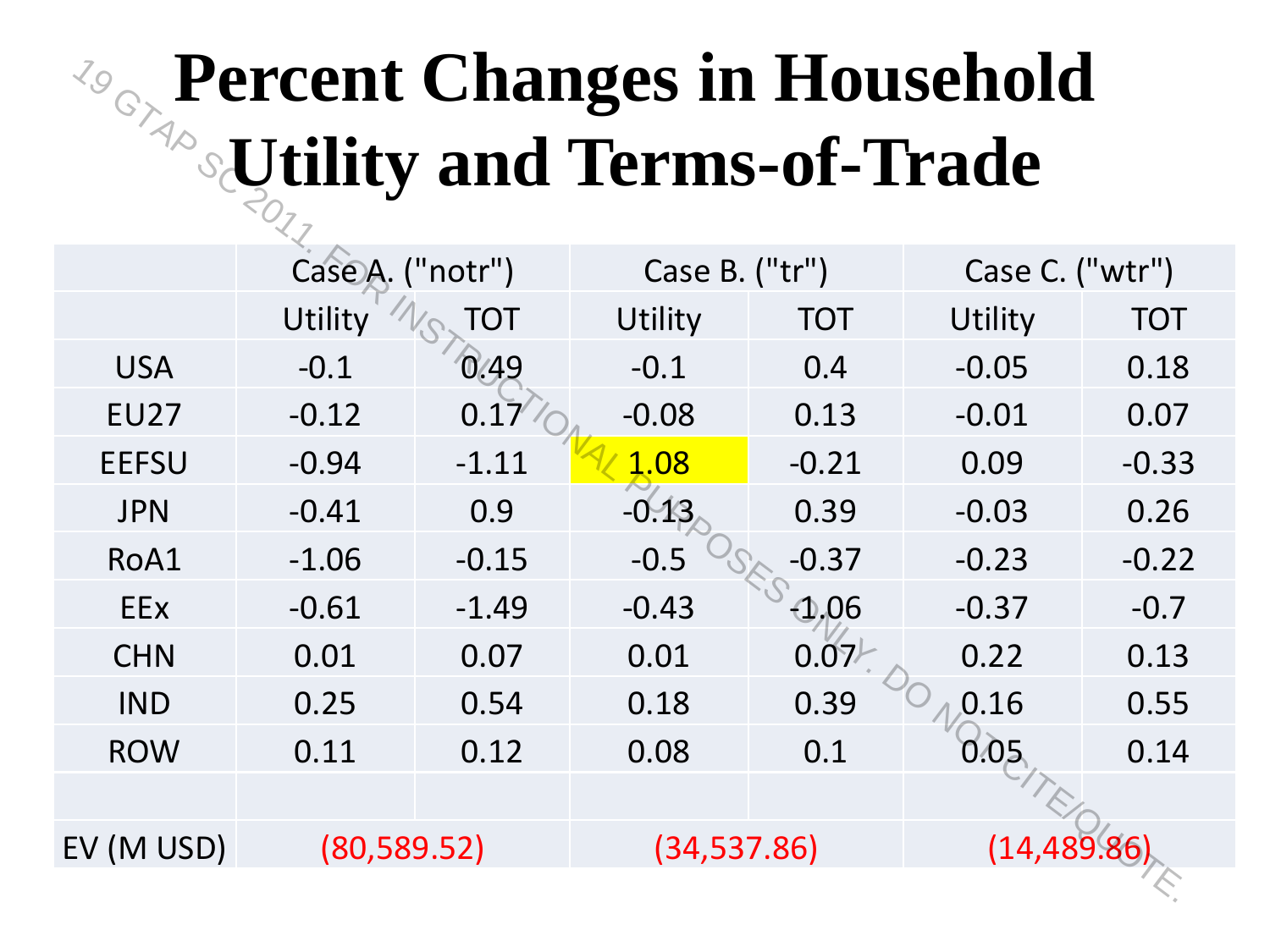#### **Percent Changes in Household Utility and Terms-of-Trade**

|                                                                               |                 |         | <b>Percent Changes in Household</b> |            |                 |            |
|-------------------------------------------------------------------------------|-----------------|---------|-------------------------------------|------------|-----------------|------------|
| <b><i>Fercent Chance</i></b><br><b>Example 2016</b> Julity and Terms-of-Trade |                 |         |                                     |            |                 |            |
|                                                                               | CaseA. ("notr") |         | Case B. ("tr")                      |            | Case C. ("wtr") |            |
|                                                                               | Utility         | TOT     | Utility                             | <b>TOT</b> | Utility         | <b>TOT</b> |
| <b>USA</b>                                                                    | $-0.1$          | 0.49    | $-0.1$                              | 0.4        | $-0.05$         | 0.18       |
| <b>EU27</b>                                                                   | $-0.12$         | 0.17'   | $-0.08$                             | 0.13       | $-0.01$         | 0.07       |
| <b>EEFSU</b>                                                                  | $-0.94$         | $-1.11$ | 1.08                                | $-0.21$    | 0.09            | $-0.33$    |
| <b>JPN</b>                                                                    | $-0.41$         | 0.9     | $-0.13$                             | 0.39       | $-0.03$         | 0.26       |
| RoA1                                                                          | $-1.06$         | $-0.15$ | $-0.5$                              | $-0.37$    | $-0.23$         | $-0.22$    |
| EEX                                                                           | $-0.61$         | $-1.49$ | $-0.43$                             | $-1.06$    | $-0.37$         | $-0.7$     |
| <b>CHN</b>                                                                    | 0.01            | 0.07    | 0.01                                | 0.07       | 0.22            | 0.13       |
| <b>IND</b>                                                                    | 0.25            | 0.54    | 0.18                                | 0.39       | 0.16            | 0.55       |
| <b>ROW</b>                                                                    | 0.11            | 0.12    | 0.08                                | 0.1        | 0.05            | 0.14       |
|                                                                               |                 |         |                                     |            |                 |            |
| EV (M USD)                                                                    | (80, 589.52)    |         | (34, 537.86)                        |            | (14.489)        |            |
|                                                                               |                 |         |                                     |            |                 |            |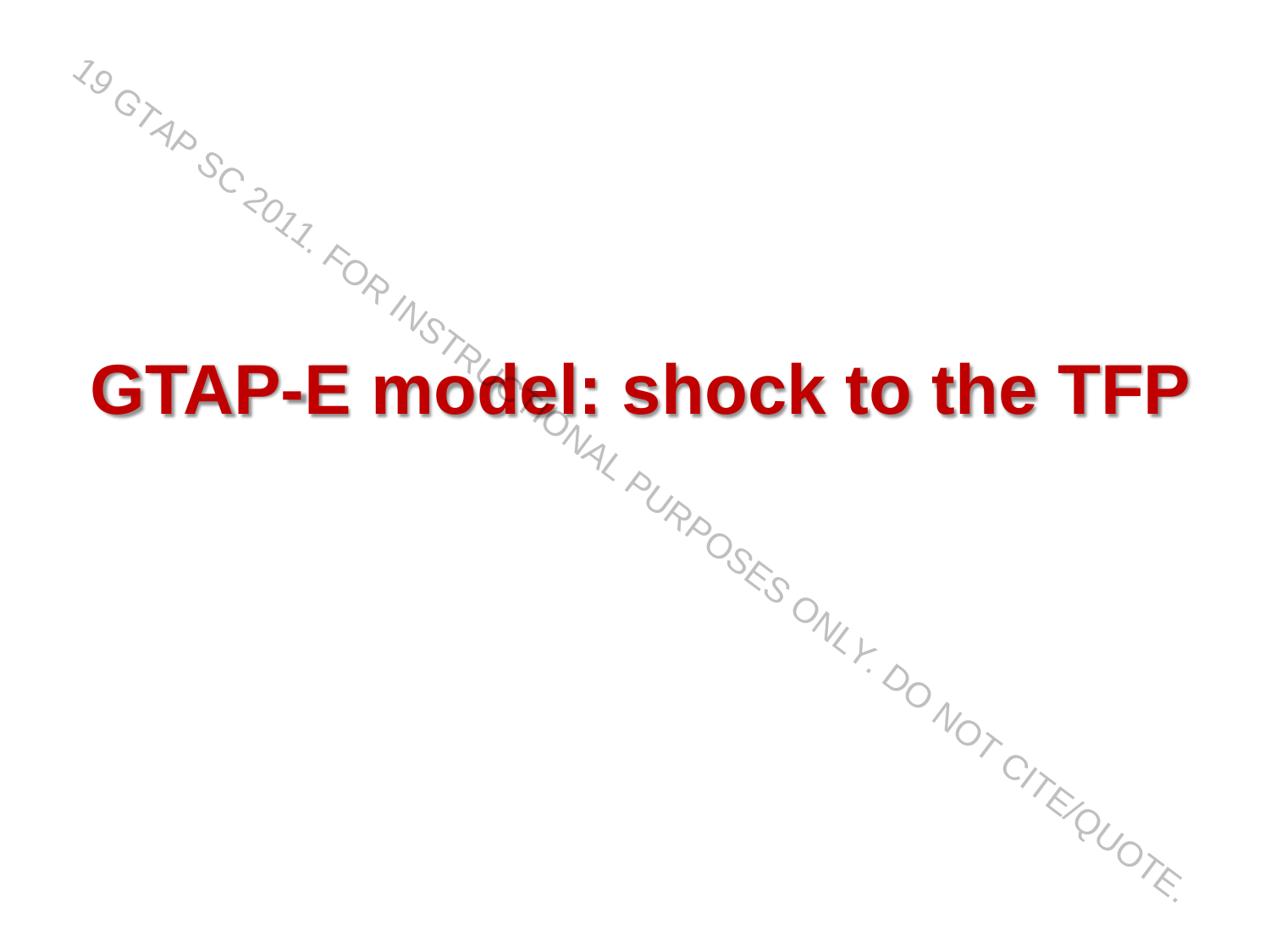# **GTAP-E model: shock to the TF.**<br>GTAP-E model: shock to the TF.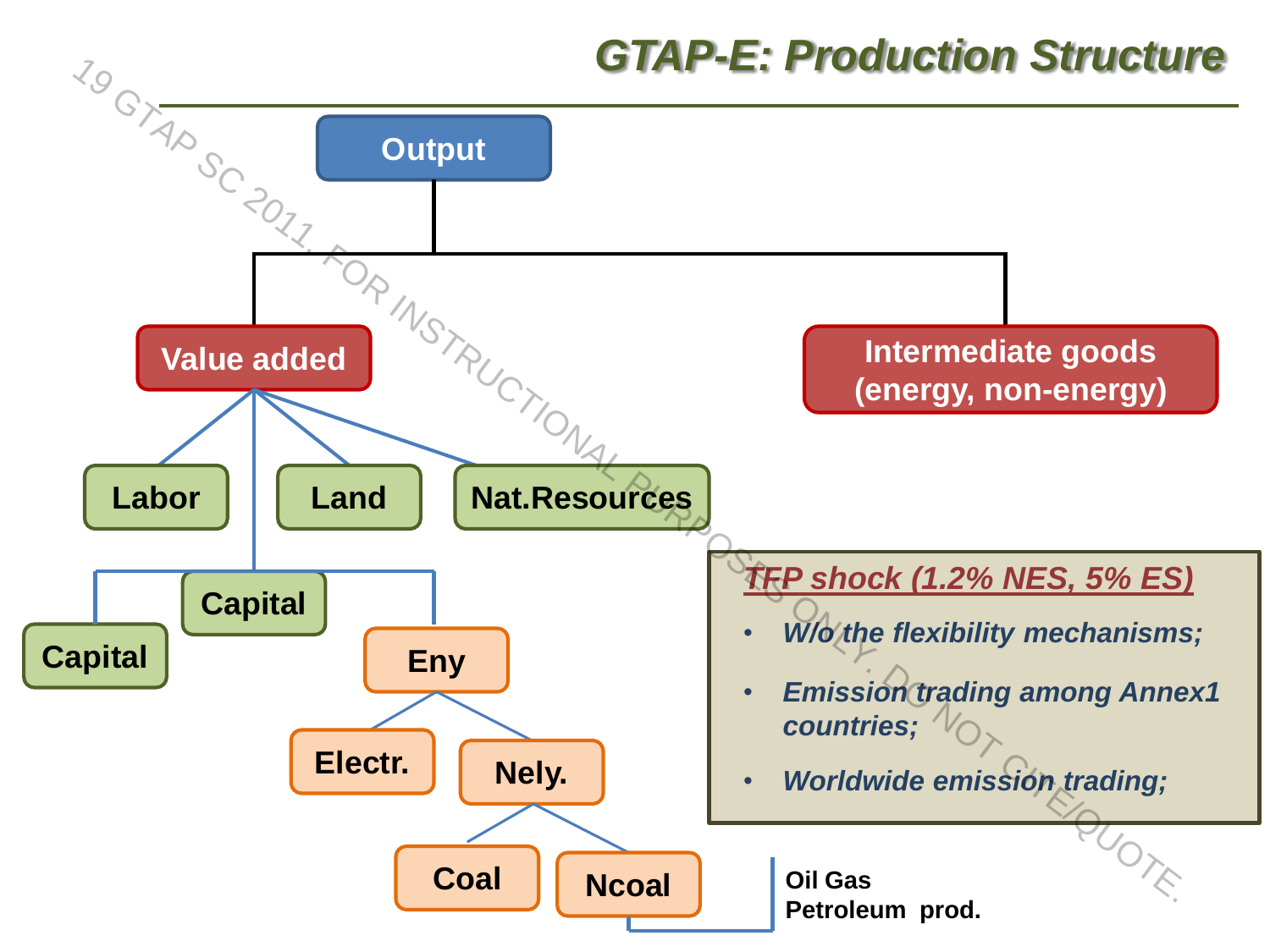#### *GTAP-E: Production Structure*

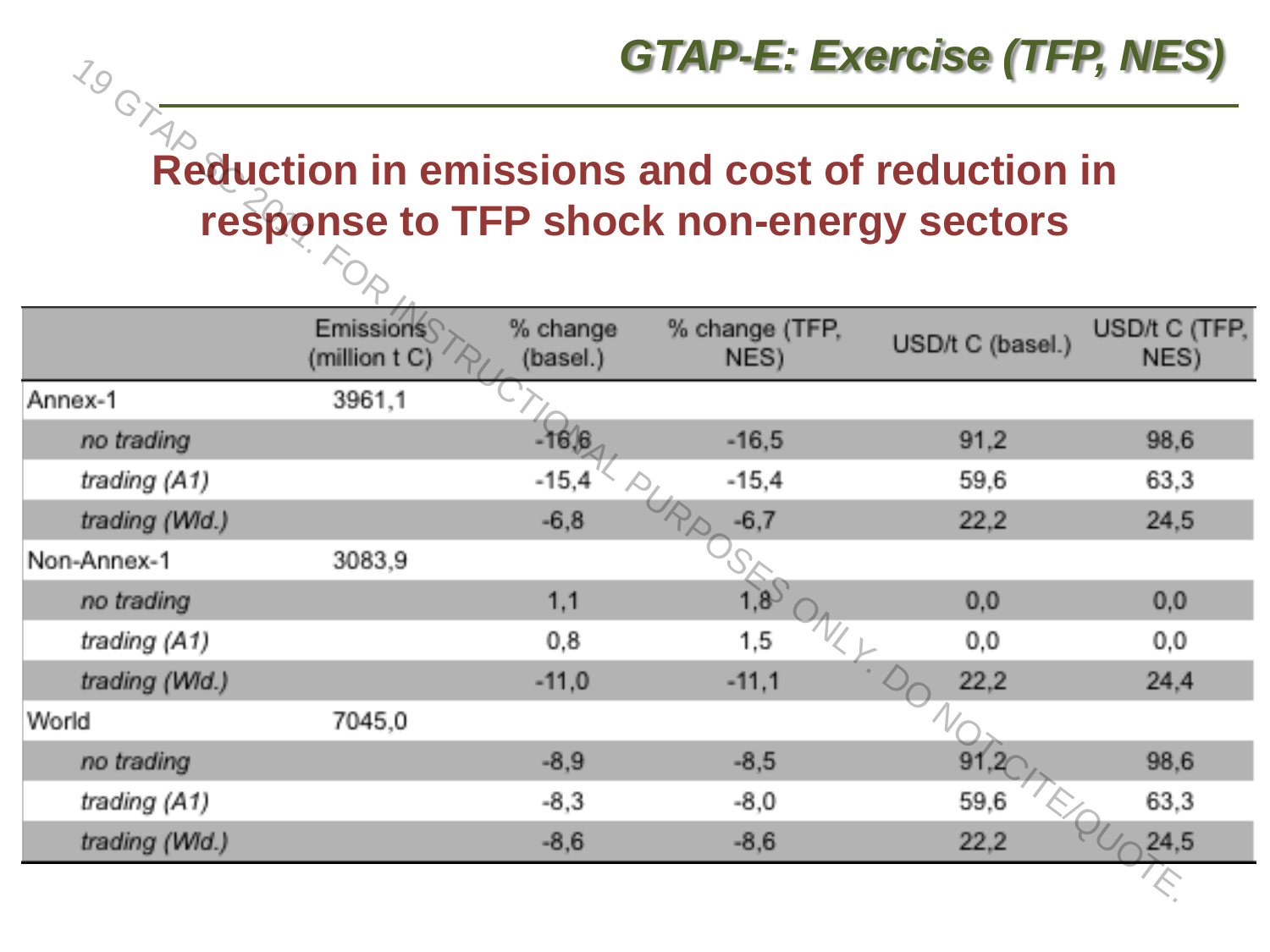#### *GTAP-E: Exercise (TFP, NES)*

**Reduction in emissions and cost of reduction in Reduction in** 

| 79             |                                   |                      | UIAF-L. LAUGUST (IFF, NES)                                                                         |                  |                       |
|----------------|-----------------------------------|----------------------|----------------------------------------------------------------------------------------------------|------------------|-----------------------|
| GTAP           |                                   |                      | <b>Reduction in emissions and cost of reduction in</b><br>response to TFP shock non-energy sectors |                  |                       |
|                | <b>Emissions</b><br>(million t C) | % change<br>(basel.) | % change (TFP,<br>NES)                                                                             | USD/t C (basel.) | USD/t C (TFP,<br>NES) |
| Annex-1        | 3961,1                            |                      |                                                                                                    |                  |                       |
| no trading     |                                   | $-16,6$              | $-16,5$                                                                                            | 91,2             | 98,6                  |
| trading (A1)   |                                   | $-15,4$              | $-15,4$                                                                                            | 59,6             | 63,3                  |
| trading (Wid.) |                                   | $-6,8$               | $-6,7$                                                                                             | 22,2             | 24,5                  |
| Non-Annex-1    | 3083,9                            |                      |                                                                                                    |                  |                       |
| no trading     |                                   | 1,1                  | $\overrightarrow{18}$                                                                              | 0,0              | 0,0                   |
| trading (A1)   |                                   | 0,8                  | 1,5                                                                                                | 0,0              | 0,0                   |
| trading (Wid.) |                                   | $-11,0$              | $-11,1$                                                                                            | 22,2             | 24,4                  |
| World          | 7045,0                            |                      |                                                                                                    |                  |                       |
| no trading     |                                   | $-8,9$               | $-8,5$                                                                                             |                  | 98,6                  |
| trading (A1)   |                                   | $-8,3$               | $-8,0$                                                                                             | 59,6             | 63,3                  |
| trading (Wid.) |                                   | $-8,6$               | $-8,6$                                                                                             | 22,2             | 24,5                  |
|                |                                   |                      |                                                                                                    |                  |                       |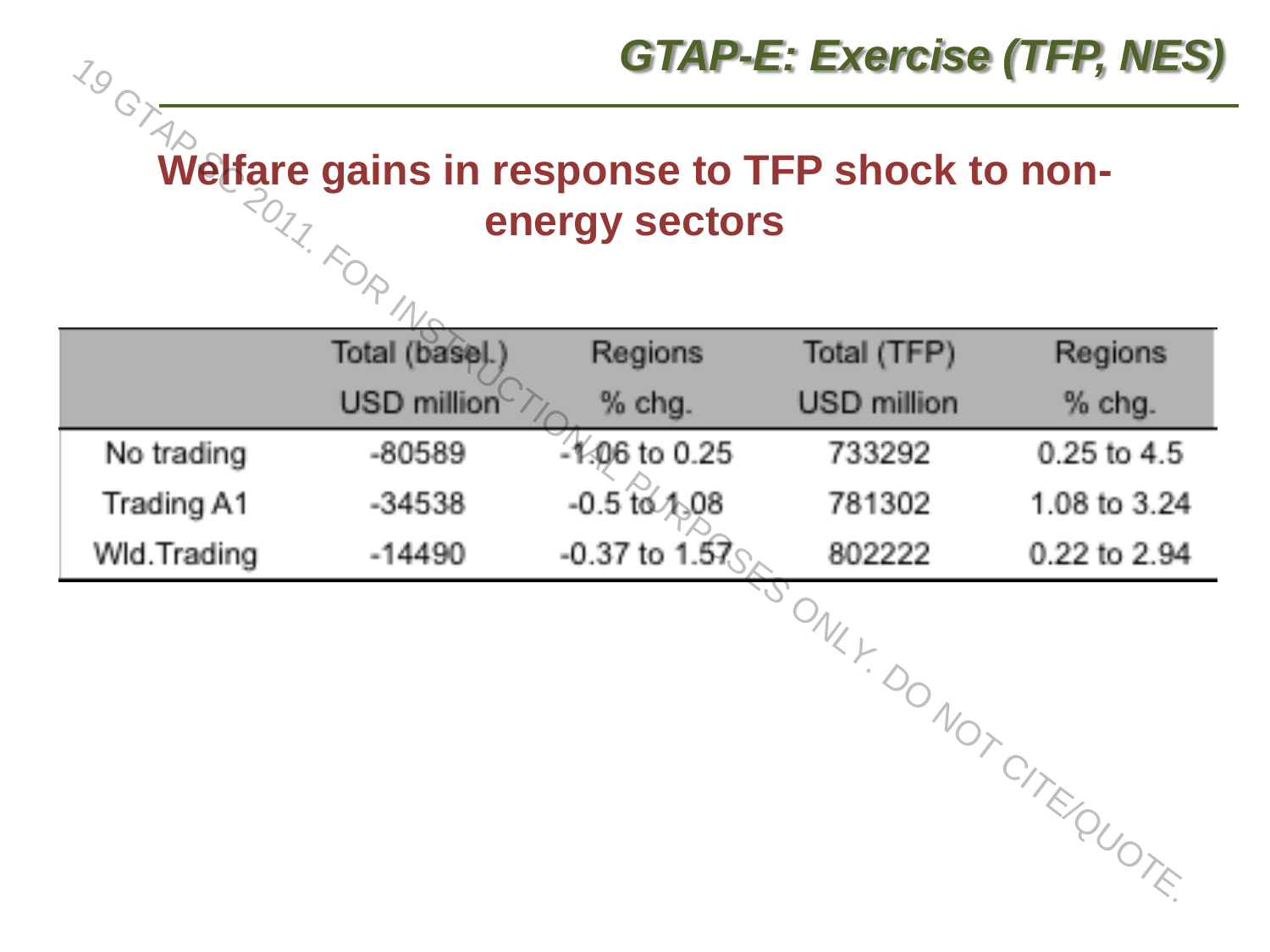

|             | Total (base).) | Regions          | Total (TFP) | Regions               |
|-------------|----------------|------------------|-------------|-----------------------|
|             | USD million    | $%$ chg.         | USD million | % chg.                |
| No trading  | $-80589$       | $-106$ to 0.25   | 733292      | 0.25 to 4.5           |
| Trading A1  | $-34538$       | $-0.5$ to $4.08$ | 781302      | 1.08 to 3.24          |
| Wid.Trading | $-14490$       | $-0.37$ to 1.57  | 802222      | 0.22 to 2.94          |
|             |                |                  |             | JONKY DONOTCITE QUOTE |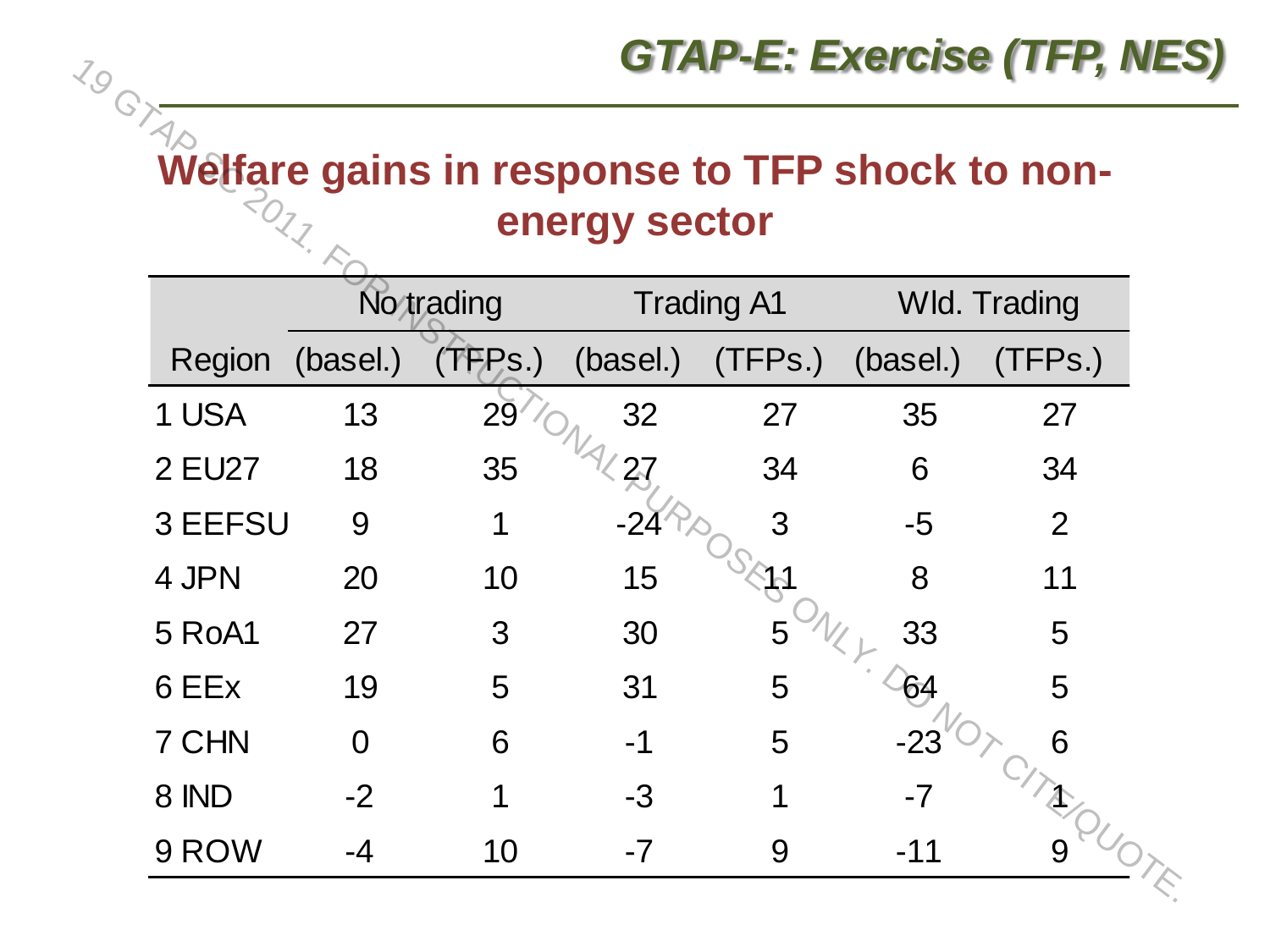#### **Welfare gains in response to TFP shock to non-**

| 2017    |          |            | energy sector |                   |          |                     |
|---------|----------|------------|---------------|-------------------|----------|---------------------|
|         |          | No trading |               | <b>Trading A1</b> |          | <b>Wld. Trading</b> |
| Region  | (basel.) | (TFPs.)    | (basel.)      | (TFPs.)           | (basel.) | (TFPs.)             |
| 1 USA   | 13       | <b>29</b>  | 32            | 27                | 35       | 27                  |
| 2 EU27  | 18       | 35         | 27            | 34                | 6        | 34                  |
| 3 EEFSU | 9        | 1          | $-22$         | 3                 | $-5$     | 2                   |
| 4 JPN   | 20       | 10         | 15            |                   | 8        | 11                  |
| 5 RoA1  | 27       | 3          | 30            | 5                 | 33       | 5                   |
| 6 EEx   | 19       | 5          | 31            | 5                 | 64       | 5                   |
| 7 CHN   | $\Omega$ | 6          | $-1$          | 5                 | -23      | 6                   |
| 8 IND   | $-2$     | 1          | -3            | 1                 | $-7$     |                     |
| 9 ROW   | -4       | 10         | $-7$          | 9                 | $-11$    | 9                   |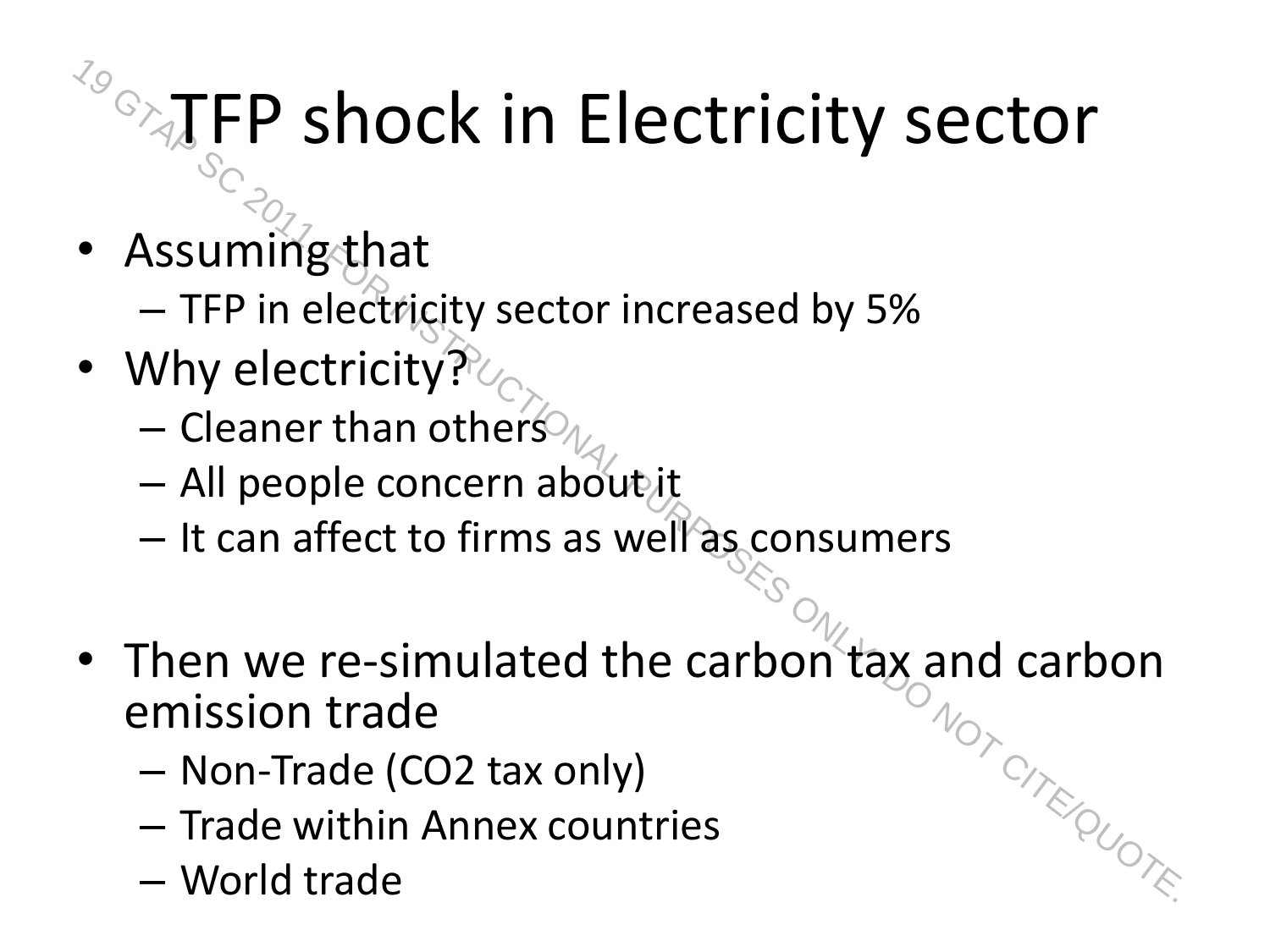#### TFP shock in Electricity sector

- Assuming that
	- TFP in electricity sector increased by 5%
- Why electricity?
	- Cleaner than others
	- All people concern about it
	- It can affect to firms as well as consumers
- Then we re-simulated the carbon tax and carbon emission trade For  $\frac{1}{2}$ <br>  $\frac{1}{2}$ <br>  $\frac{1}{2}$ <br>  $\frac{1}{2}$ <br>  $\frac{1}{2}$ <br>  $\frac{1}{2}$ <br>  $\frac{1}{2}$  TFP in electricity?<br>  $\frac{1}{2}$ <br>  $\frac{1}{2}$  Then trade trade trade trade trade trade  $\frac{1}{2}$ <br>  $\frac{1}{2}$ <br>  $\frac{1}{2}$ <br>  $\frac{1}{2}$ <br>  $\frac{1}{2}$ <br>  $\frac$ 
	- Non-Trade (CO2 tax only)
	- Trade within Annex countries
	-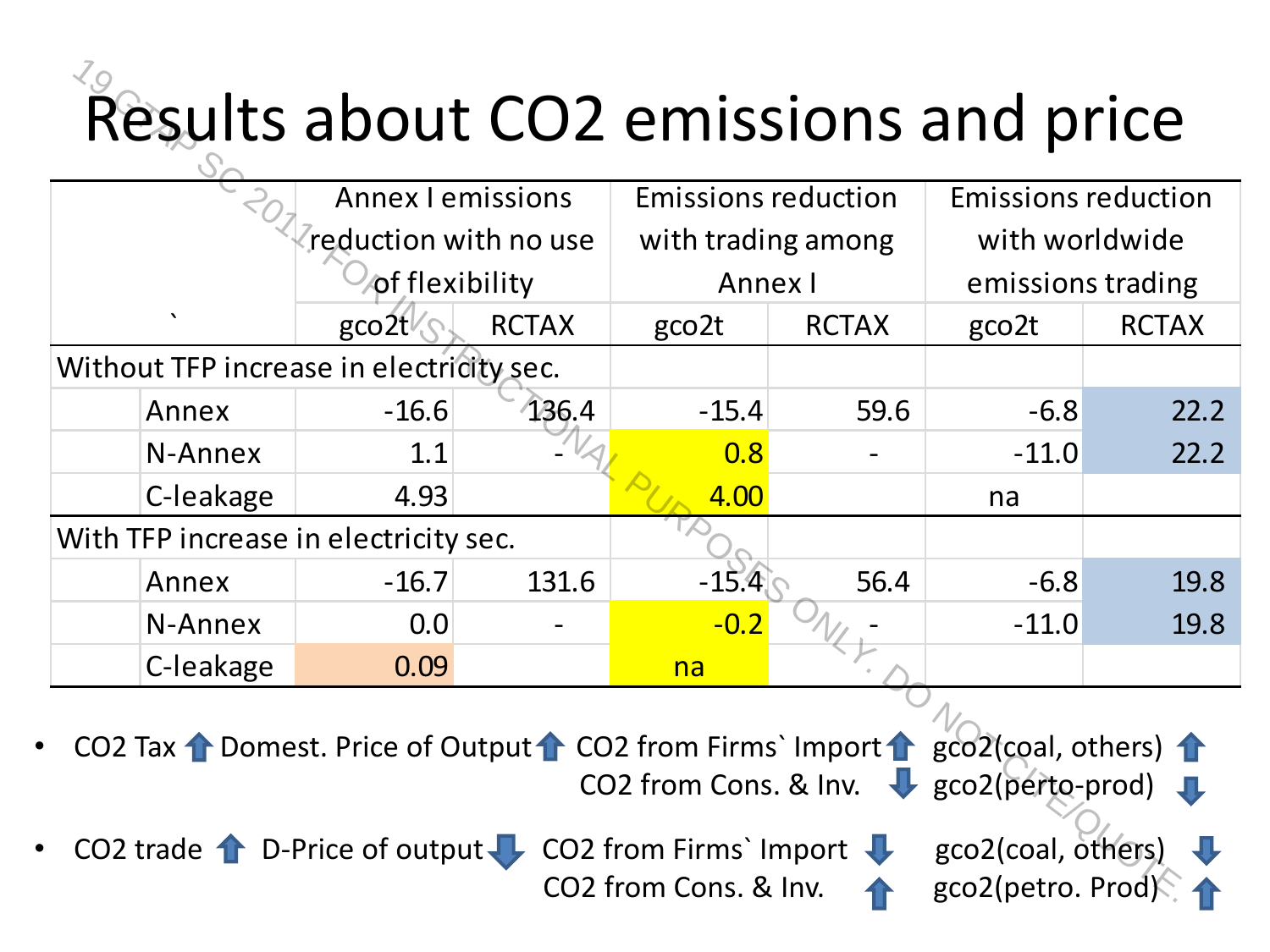#### Results about CO2 emissions and price

|           | Results about CO2 emissions and price                                             |              |                                                           |              |                                         |                   |
|-----------|-----------------------------------------------------------------------------------|--------------|-----------------------------------------------------------|--------------|-----------------------------------------|-------------------|
|           | <b>Annex I emissions</b>                                                          |              | <b>Emissions reduction</b>                                |              | <b>Emissions reduction</b>              |                   |
|           | reduction with no use                                                             |              | with trading among                                        |              | with worldwide                          |                   |
|           | of flexibility                                                                    |              | Annex I                                                   |              |                                         | emissions trading |
|           | $\text{gco2t}$                                                                    | <b>RCTAX</b> | gco <sub>2t</sub>                                         | <b>RCTAX</b> | gco <sub>2t</sub>                       | <b>RCTAX</b>      |
|           | Without TFP increase in electricity sec.                                          |              |                                                           |              |                                         |                   |
| Annex     | $-16.6$                                                                           | 136.4        | $-15.4$                                                   | 59.6         | $-6.8$                                  | 22.2              |
| N-Annex   | 1.1                                                                               |              | 0.8                                                       |              | $-11.0$                                 | 22.2              |
| C-leakage | 4.93                                                                              |              | 4.00                                                      |              | na                                      |                   |
|           | With TFP increase in electricity sec.                                             |              |                                                           |              |                                         |                   |
| Annex     | $-16.7$                                                                           | 131.6        | $-15.4$                                                   | 56.4         | $-6.8$                                  | 19.8              |
| N-Annex   | 0.0                                                                               |              | $-0.2$                                                    |              | $-11.0$                                 | 19.8              |
| C-leakage | 0.09                                                                              |              | na                                                        |              |                                         |                   |
|           | CO2 Tax ↑ Domest. Price of Output ↑ CO2 from Firms` Import ↑ gco2(coal, others) ↑ |              | CO2 from Cons. & Inv. V gco2(perto-prod)                  |              |                                         |                   |
|           | CO2 trade $\uparrow$ D-Price of output                                            |              | CO2 from Firms' Import $\bigcup$<br>CO2 from Cons. & Inv. |              | gco2(coal, others)<br>gco2(petro. Prod) |                   |

CO2 from Cons. & Inv. 4 gco2(petro. Prod)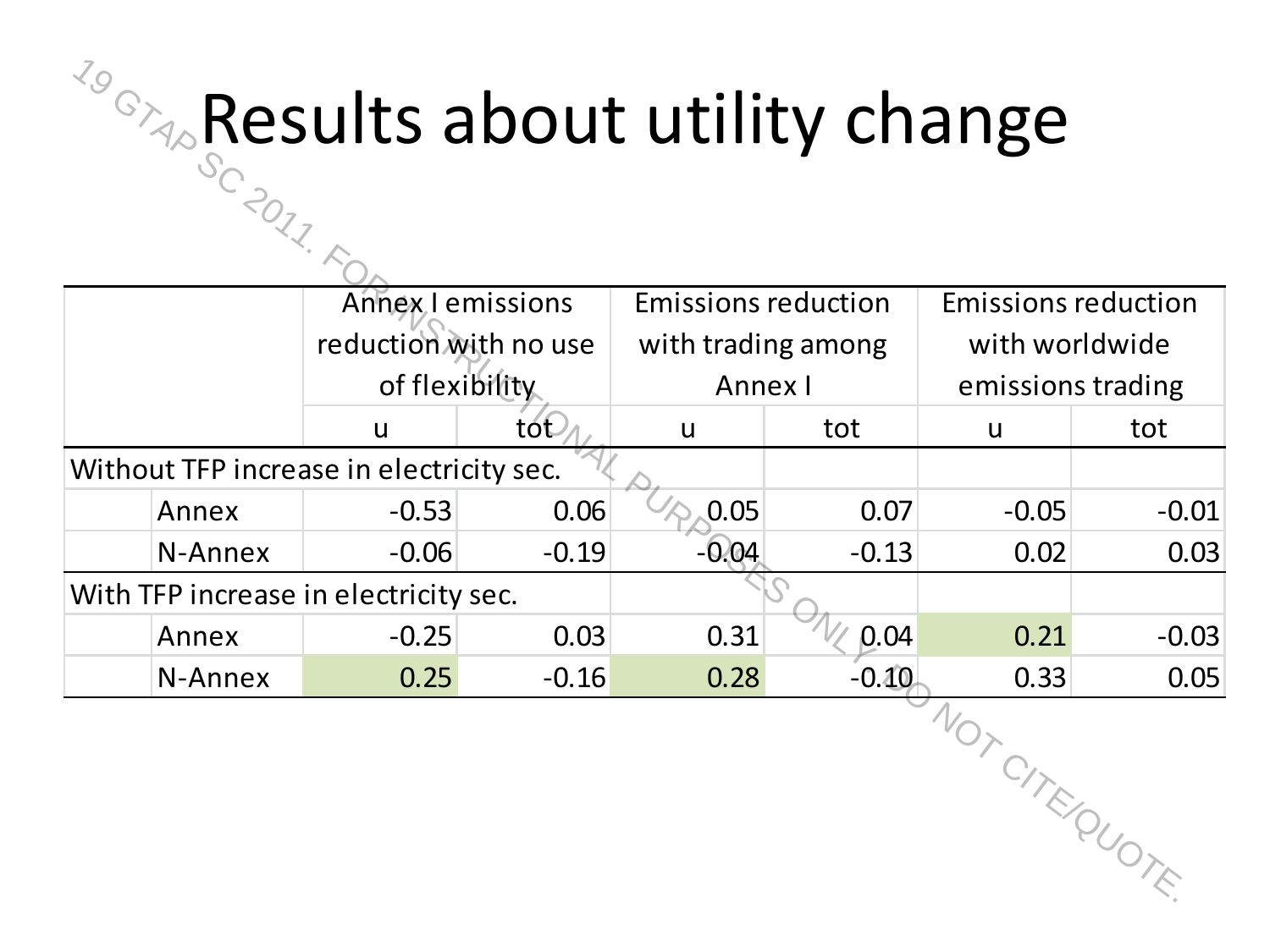#### Results about utility change

| <b><i>TO</i></b> <sub><math>\alpha</math></sub> Results about utility change |                       |         |                            |         |                            |         |
|------------------------------------------------------------------------------|-----------------------|---------|----------------------------|---------|----------------------------|---------|
| SC 2017. F                                                                   |                       |         |                            |         |                            |         |
|                                                                              | Annex I emissions     |         | <b>Emissions reduction</b> |         | <b>Emissions reduction</b> |         |
|                                                                              | reduction with no use |         | with trading among         |         | with worldwide             |         |
|                                                                              | of flexibility        |         | Annex I                    |         | emissions trading          |         |
|                                                                              | $\mathsf{u}$          | tót     | $\mathsf{u}$               | tot     | <b>u</b>                   | tot     |
| Without TFP increase in electricity sec.                                     |                       |         |                            |         |                            |         |
| Annex                                                                        | $-0.53$               | 0.06    | 0.05                       | 0.07    | $-0.05$                    | $-0.01$ |
| N-Annex                                                                      | $-0.06$               | $-0.19$ | $-0.04$                    | $-0.13$ | 0.02                       | 0.03    |
| With TFP increase in electricity sec.                                        |                       |         |                            |         |                            |         |
| Annex                                                                        | $-0.25$               | 0.03    | 0.31                       | 0.04    | 0.21                       | $-0.03$ |
| N-Annex                                                                      | 0.25                  | $-0.16$ | 0.28                       | $-0.10$ | 0.33                       | 0.05    |
|                                                                              |                       |         |                            |         | WOTCHTEQUOTE               |         |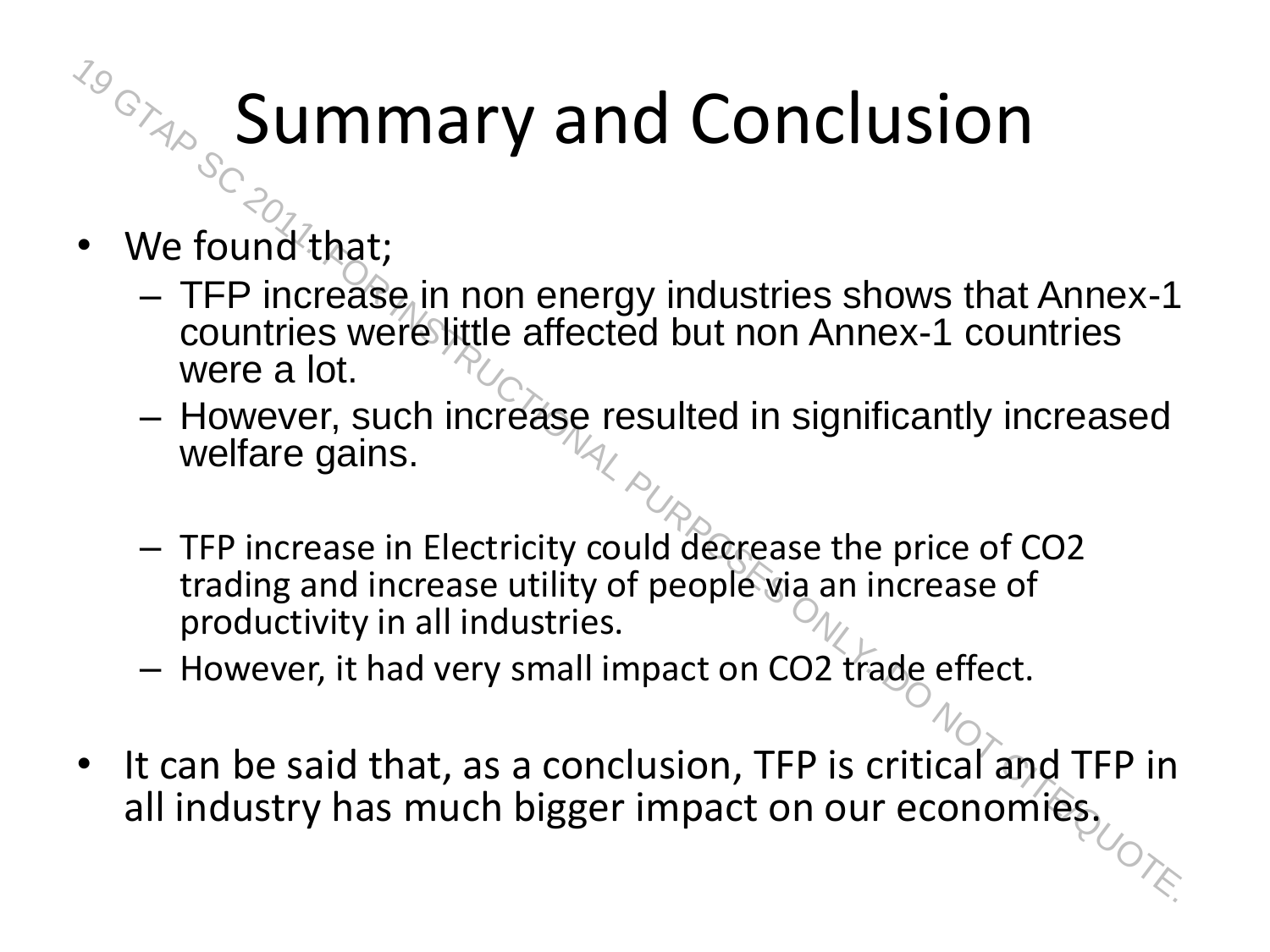#### Summary and Conclusion

- We found that;
- TFP increase in non energy industries shows that Annex-1 countries were little affected but non Annex-1 countries were a lot. For the found of that is much bigger impact on our economies,<br>  $\sim$  TFP increase in non energy industries shows that Annex-1<br>
countries were little affected but non Annex-1 countries<br>
were a lot.<br>
— However, such increase
	- However, such increase resulted in significantly increased welfare gains.
	- TFP increase in Electricity could decrease the price of CO2 trading and increase utility of people via an increase of productivity in all industries.
	- However, it had very small impact on CO2 trade effect.
- It can be said that, as a conclusion, TFP is critical and TFP in all industry has much bigger impact on our economies,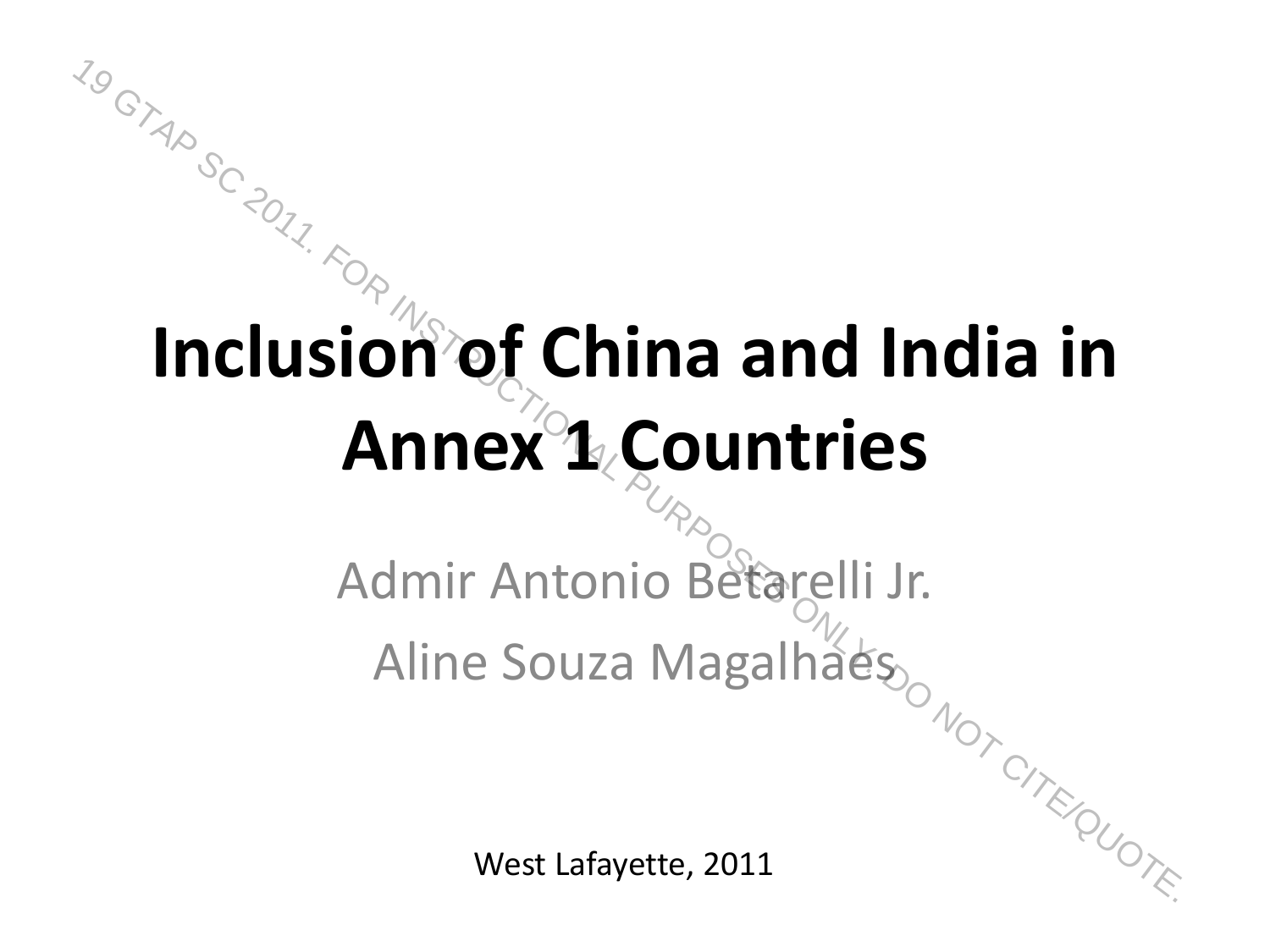## **Inclusion of China and India in Annex 1 Countries**  $\frac{M_{\text{S}}}{M_{\text{S}}}\frac{M_{\text{S}}}{M_{\text{S}}}\frac{M_{\text{S}}}{M_{\text{S}}}\frac{M_{\text{S}}}{M_{\text{S}}}\frac{M_{\text{S}}}{M_{\text{S}}}\frac{M_{\text{S}}}{M_{\text{S}}}\frac{M_{\text{S}}}{M_{\text{S}}}\frac{M_{\text{S}}}{M_{\text{S}}}\frac{M_{\text{S}}}{M_{\text{S}}}\frac{M_{\text{S}}}{M_{\text{S}}}\frac{M_{\text{S}}}{M_{\text{S}}}\frac{M_{\text{S}}}{M_{\text{S}}}\frac{M$

Admir Antonio Betarelli Jr.  $\mu$ mir Antonio Beto $\frac{1}{2}$ Aline Souza Magalhaes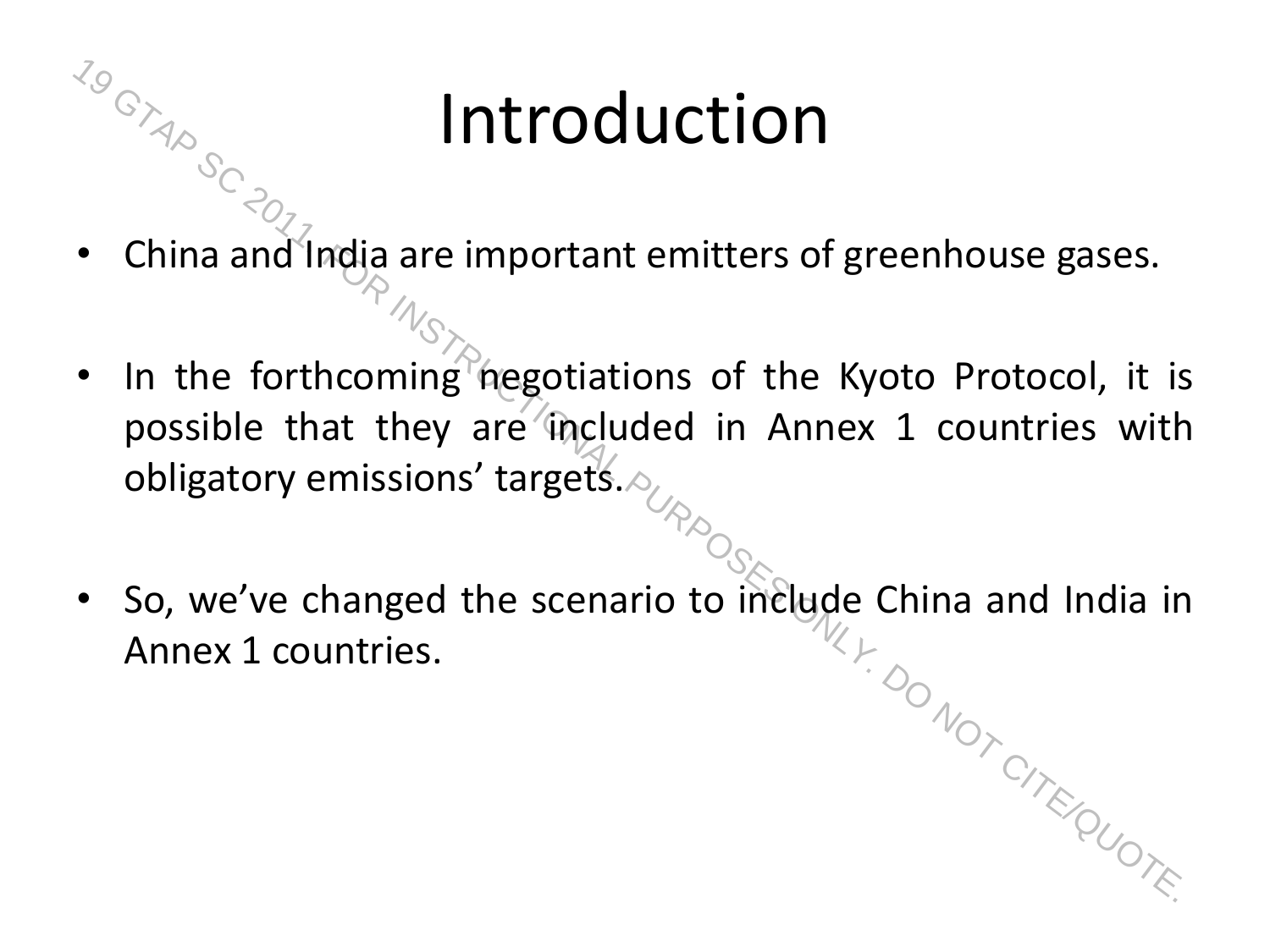#### Introduction

- $\frac{m_{\odot}}{m_{\odot}}$  and  $\frac{m_{\odot}}{m_{\odot}}$  are important emitters of greenhouse gases.
	- In the forthcoming negotiations of the Kyoto Protocol, it is possible that they are included in Annex 1 countries with obligatory emissions' targets. 19  $\frac{100}{100}$ <br>
	• China and India are important emitters of greenhouse gases.<br>
	• In the forthcoming negotiations of the Kyoto Protocol, it is<br>
	possible that they are included in Annex 1 countries with<br>
	obligatory emissi
	- So, we've changed the scenario to include China and India in Annex 1 countries.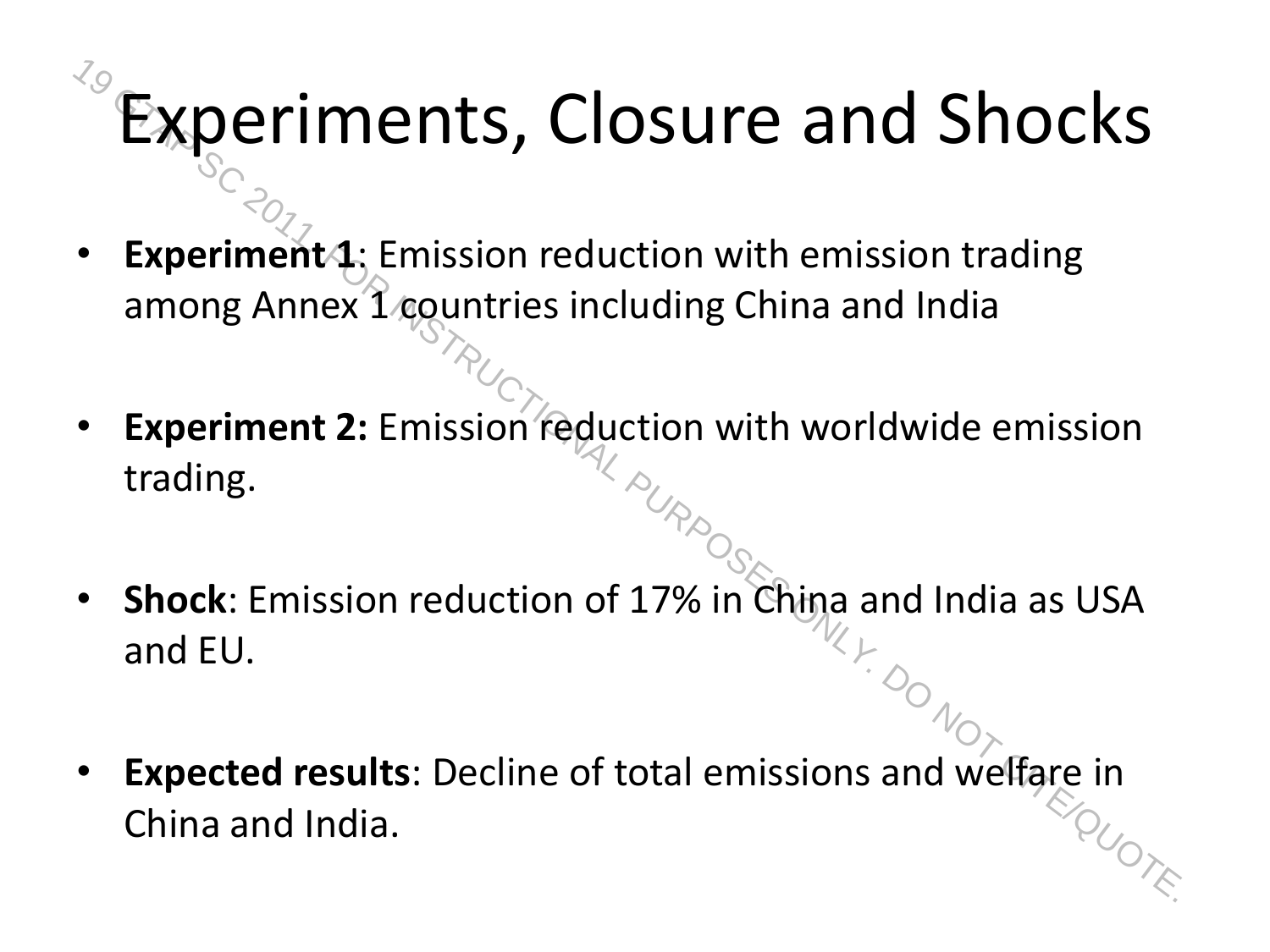# Experiments, Closure and Shocks **Experiments, Closure and Shocks**<br> **China and Shocks**<br> **China and India**<br> **China and India.**<br> **China and India.**<br> **China and EU.**<br> **CHINAL PURPOSES ONLY.**<br> **CHINAL PURPOSE SCIPE ON ACTION**<br> **CHINAL PURPOSE ONLY.**<br> **CHINAL**

- **Experiment4:** Emission reduction with emission trading among Annex 1 countries including China and India
- **Experiment 2:** Emission reduction with worldwide emission trading.
- **Shock**: Emission reduction of 17% in China and India as USA and EU.
- **Expected results**: Decline of total emissions and welfare in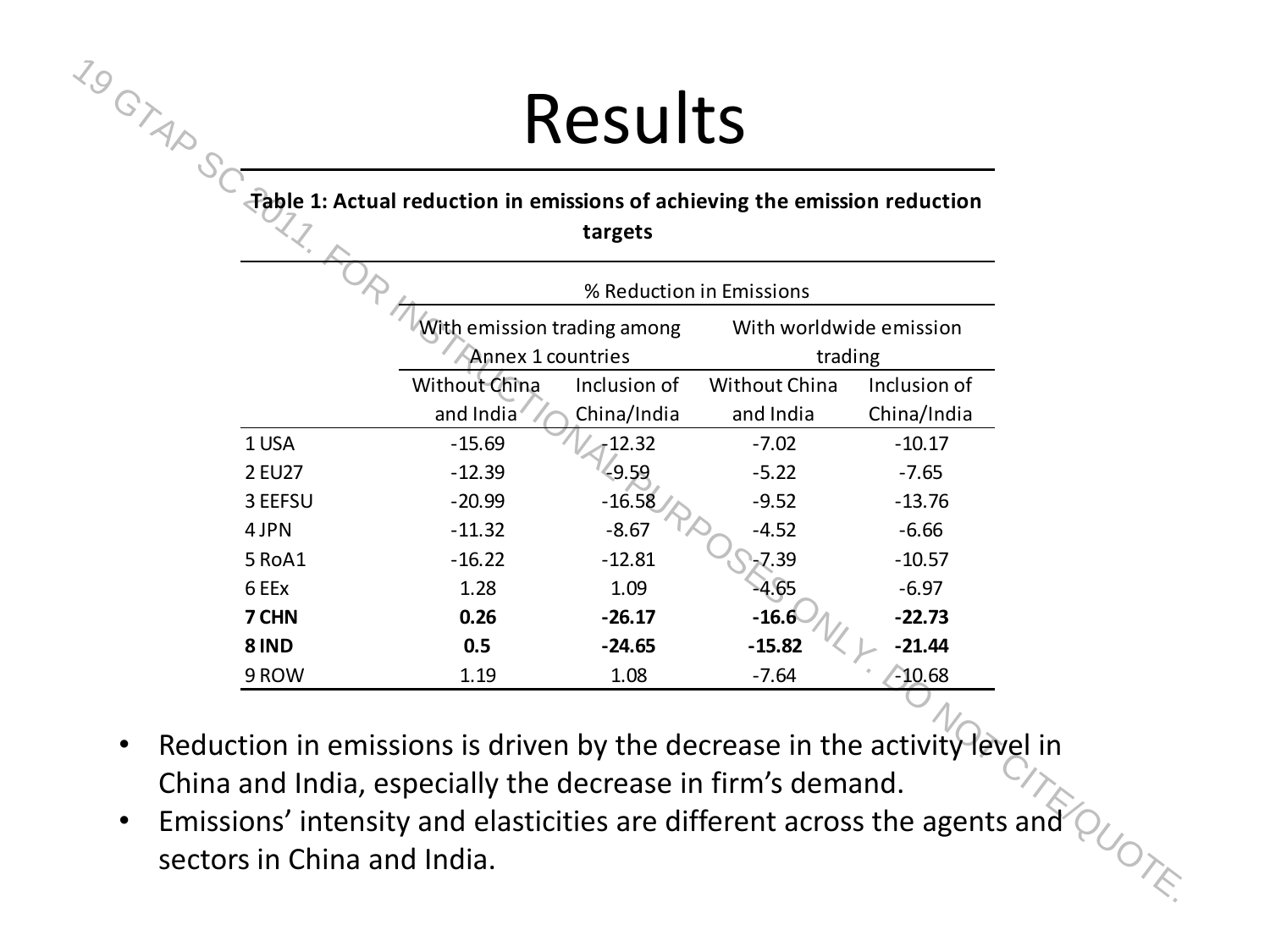#### Results

#### **Table 1: Actual reduction in emissions of achieving the emission reduction**

**targets** 

|         | Table 1: Actual reduction in emissions of achieving the emission reduction | targets      |                                    |              |
|---------|----------------------------------------------------------------------------|--------------|------------------------------------|--------------|
|         |                                                                            |              | % Reduction in Emissions           |              |
|         | With emission trading among<br>Annex 1 countries                           |              | With worldwide emission<br>trading |              |
|         | Without China                                                              | Inclusion of | <b>Without China</b>               | Inclusion of |
|         | and India                                                                  | China/India  | and India                          | China/India  |
| 1 USA   | $-15.69$                                                                   | $-12.32$     | $-7.02$                            | $-10.17$     |
| 2 EU27  | $-12.39$                                                                   | 49.59        | $-5.22$                            | $-7.65$      |
| 3 EEFSU | $-20.99$                                                                   | $-16.58$     | $-9.52$                            | $-13.76$     |
| 4 JPN   | $-11.32$                                                                   | $-8.67$      | $-4.52$                            | $-6.66$      |
| 5 RoA1  | $-16.22$                                                                   | $-12.81$     | $-7.39$                            | $-10.57$     |
| 6 EEx   | 1.28                                                                       | 1.09         | $-4.65$                            | $-6.97$      |
| 7 CHN   | 0.26                                                                       | $-26.17$     | $-16.6$                            | $-22.73$     |
| 8 IND   | 0.5                                                                        | $-24.65$     | $-15.82$                           | $-21.44$     |
| 9 ROW   | 1.19                                                                       | 1.08         | $-7.64$                            | $-10.68$     |
|         |                                                                            |              |                                    |              |

- Reduction in emissions is driven by the decrease in the activity level in China and India, especially the decrease in firm's demand.
- Emissions' intensity and elasticities are different across the agents and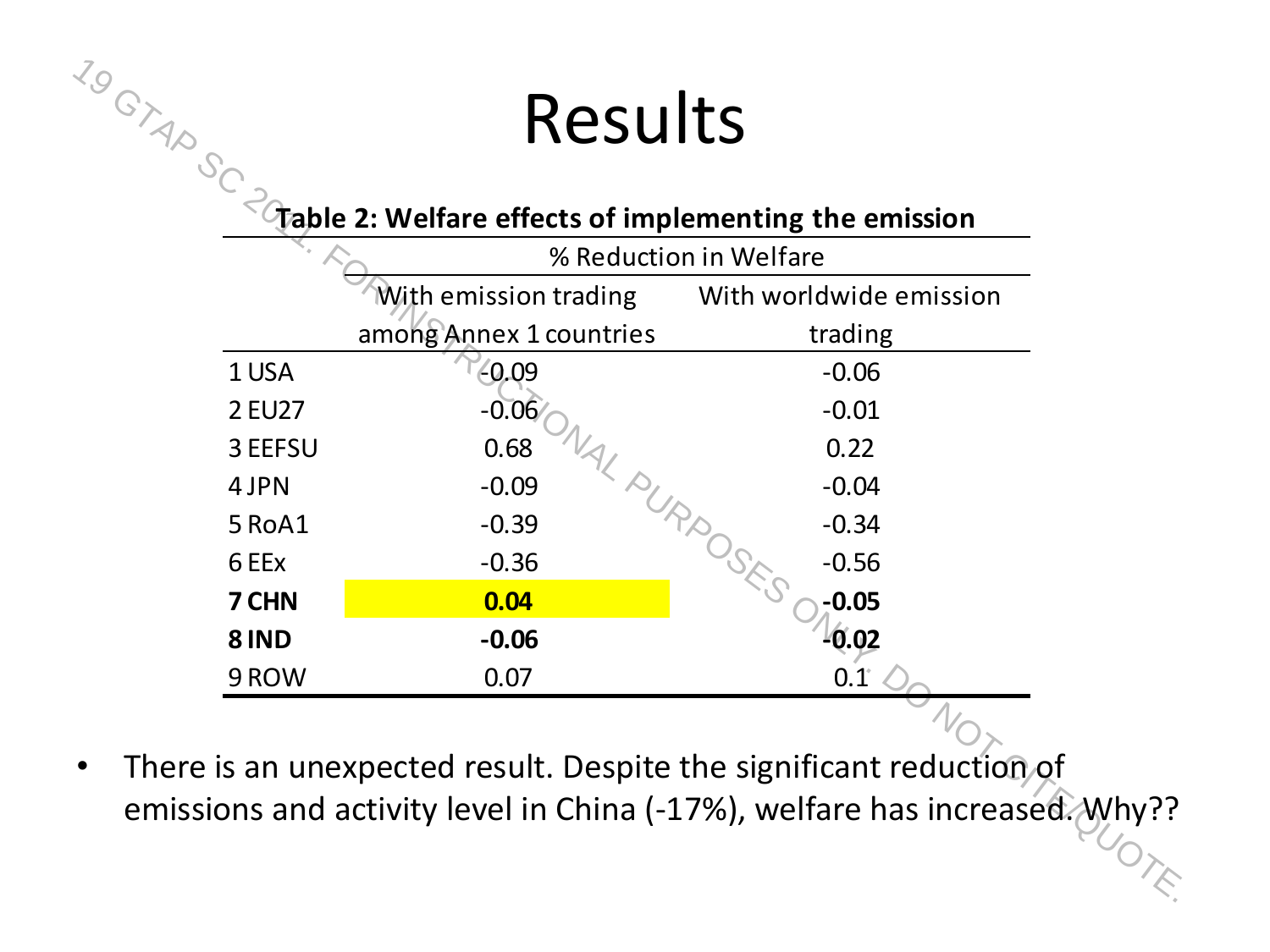#### Results

#### **Table 2: Welfare effects of implementing the emission**

| With emission trading<br>With worldwide emission<br>among Annex 1 countries<br>trading<br>1 USA<br>$-0.09$<br>$-0.06$<br>$-0.06$<br>2 EU27<br>$-0.01$ |  |
|-------------------------------------------------------------------------------------------------------------------------------------------------------|--|
|                                                                                                                                                       |  |
|                                                                                                                                                       |  |
|                                                                                                                                                       |  |
|                                                                                                                                                       |  |
| 3 EEFSU<br>0.68<br>0.22                                                                                                                               |  |
| $-0.04$<br>4 JPN<br>$-0.09$                                                                                                                           |  |
| AL PURPOST<br>5 RoA1<br>$-0.39$<br>$-0.34$                                                                                                            |  |
| 6 EEx<br>$-0.36$<br>$-0.56$                                                                                                                           |  |
| $-0.05$<br>7 CHN<br>0.04                                                                                                                              |  |
| 0.02<br>8 IND<br>$-0.06$                                                                                                                              |  |
| 9 ROW<br>0.07<br>$0.1^{\circ}$                                                                                                                        |  |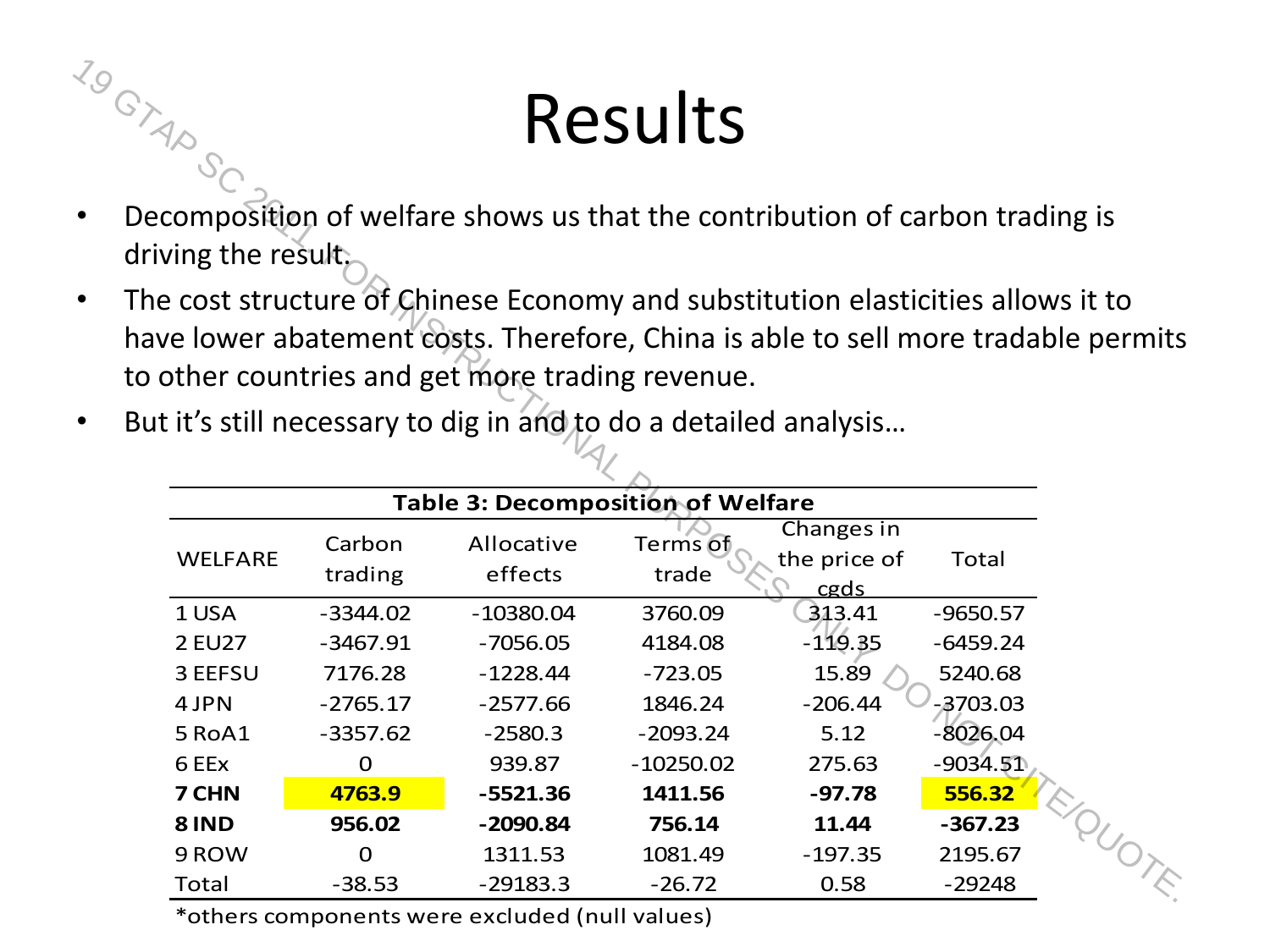#### Results

- $\frac{70}{10}$ <br>• Decomposition of welfare shows us that the contribution of carbon trading is driving the result.
	- The cost structure of Chinese Economy and substitution elasticities allows it to have lower abatement costs. Therefore, China is able to sell more tradable permits to other countries and get more trading revenue.
	- But it's still necessary to dig in and to do a detailed analysis...

| 79        |                                                                                                                                                                                                                            |                   |                                   | Results           |                                    |            |  |
|-----------|----------------------------------------------------------------------------------------------------------------------------------------------------------------------------------------------------------------------------|-------------------|-----------------------------------|-------------------|------------------------------------|------------|--|
| $\bullet$ | Decomposition of welfare shows us that the contribution of carbon trading is                                                                                                                                               |                   |                                   |                   |                                    |            |  |
|           | driving the result;                                                                                                                                                                                                        |                   |                                   |                   |                                    |            |  |
| $\bullet$ | The cost structure of Chinese Economy and substitution elasticities allows it to<br>have lower abatement costs. Therefore, China is able to sell more tradable permits<br>to other countries and get more trading revenue. |                   |                                   |                   |                                    |            |  |
| $\bullet$ | But it's still necessary to dig in and to do a detailed analysis                                                                                                                                                           |                   |                                   |                   |                                    |            |  |
|           |                                                                                                                                                                                                                            |                   | Table 3: Decomposition of Welfare |                   |                                    |            |  |
|           | <b>WELFARE</b>                                                                                                                                                                                                             | Carbon<br>trading | Allocative<br>effects             | Terms of<br>trade | Changes in<br>the price of<br>cgds | Total      |  |
|           | 1 USA                                                                                                                                                                                                                      | $-3344.02$        | $-10380.04$                       | 3760.09           | 313.41                             | $-9650.57$ |  |
|           | <b>2 EU27</b>                                                                                                                                                                                                              | $-3467.91$        | $-7056.05$                        | 4184.08           | $-119.35$                          | $-6459.24$ |  |
|           | 3 EEFSU                                                                                                                                                                                                                    | 7176.28           | $-1228.44$                        | $-723.05$         | 15.89                              | 5240.68    |  |
|           | 4 JPN                                                                                                                                                                                                                      | $-2765.17$        | $-2577.66$                        | 1846.24           | $-206.44$                          | $-3703.03$ |  |
|           | 5 RoA1                                                                                                                                                                                                                     | $-3357.62$        | $-2580.3$                         | $-2093.24$        | 5.12                               | $-8026.04$ |  |
|           | 6 EEx                                                                                                                                                                                                                      | $\Omega$          | 939.87                            | $-10250.02$       | 275.63                             | $-9034.51$ |  |
|           | 7 CHN                                                                                                                                                                                                                      | 4763.9            | $-5521.36$                        | 1411.56           | $-97.78$                           | 556.32     |  |
|           | <b>8 IND</b>                                                                                                                                                                                                               | 956.02            | $-2090.84$                        | 756.14            | 11.44                              | $-367.23$  |  |
|           | 9 ROW                                                                                                                                                                                                                      | $\overline{0}$    | 1311.53                           | 1081.49           | $-197.35$                          | 2195.67    |  |
|           | <b>Total</b>                                                                                                                                                                                                               | $-38.53$          | $-29183.3$                        | $-26.72$          | 0.58                               | $-29248$   |  |

\*others components were excluded (null values)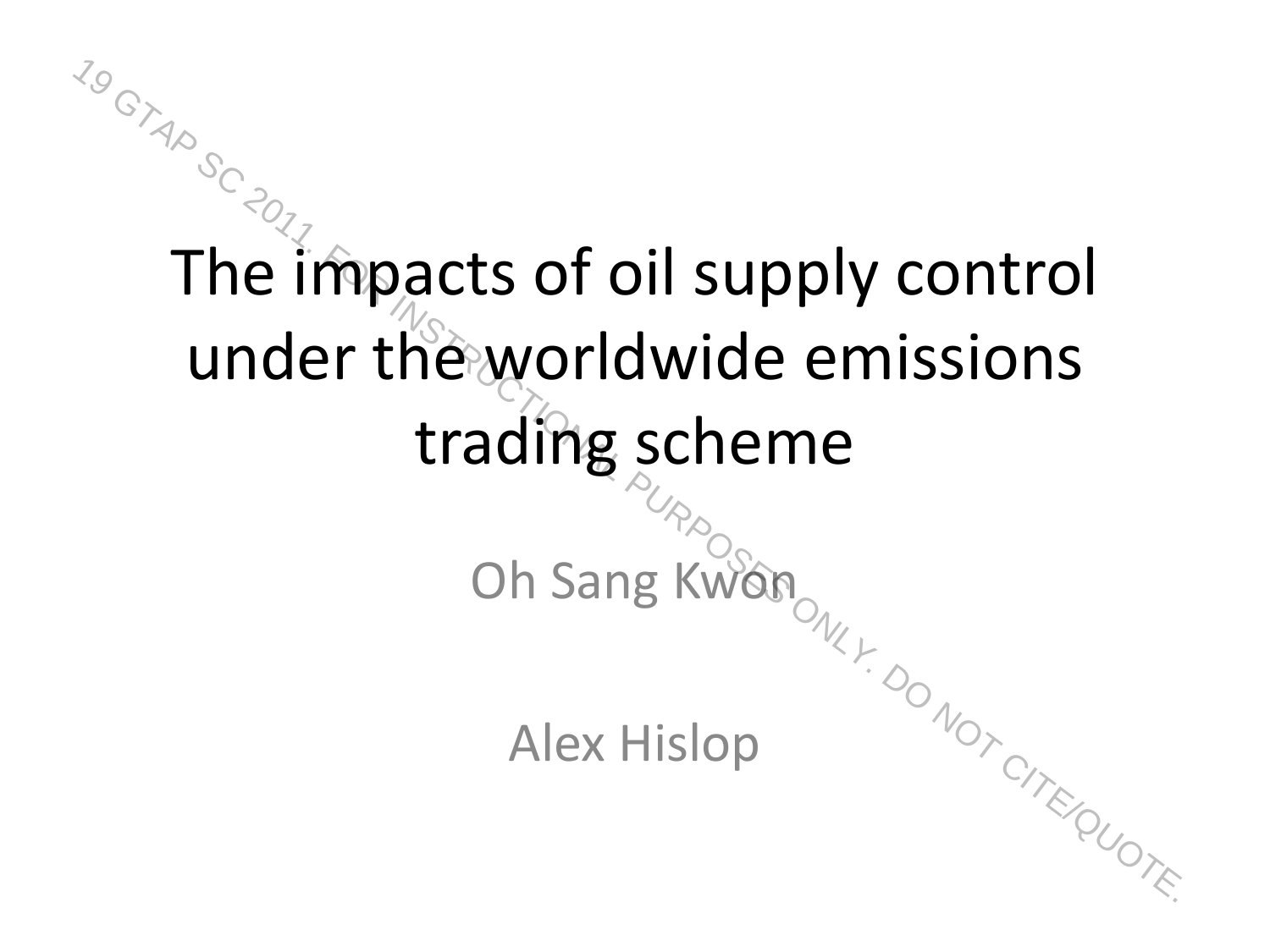#### The impacts of oil supply control under the worldwide emissions trading scheme Oh Sang Kwon The impacts of oil supply control<br>
under the worldwide emissions<br>
trading scheme<br>
oh Sang Kwan<br>
Alex Hislop<br>
Alex Hislop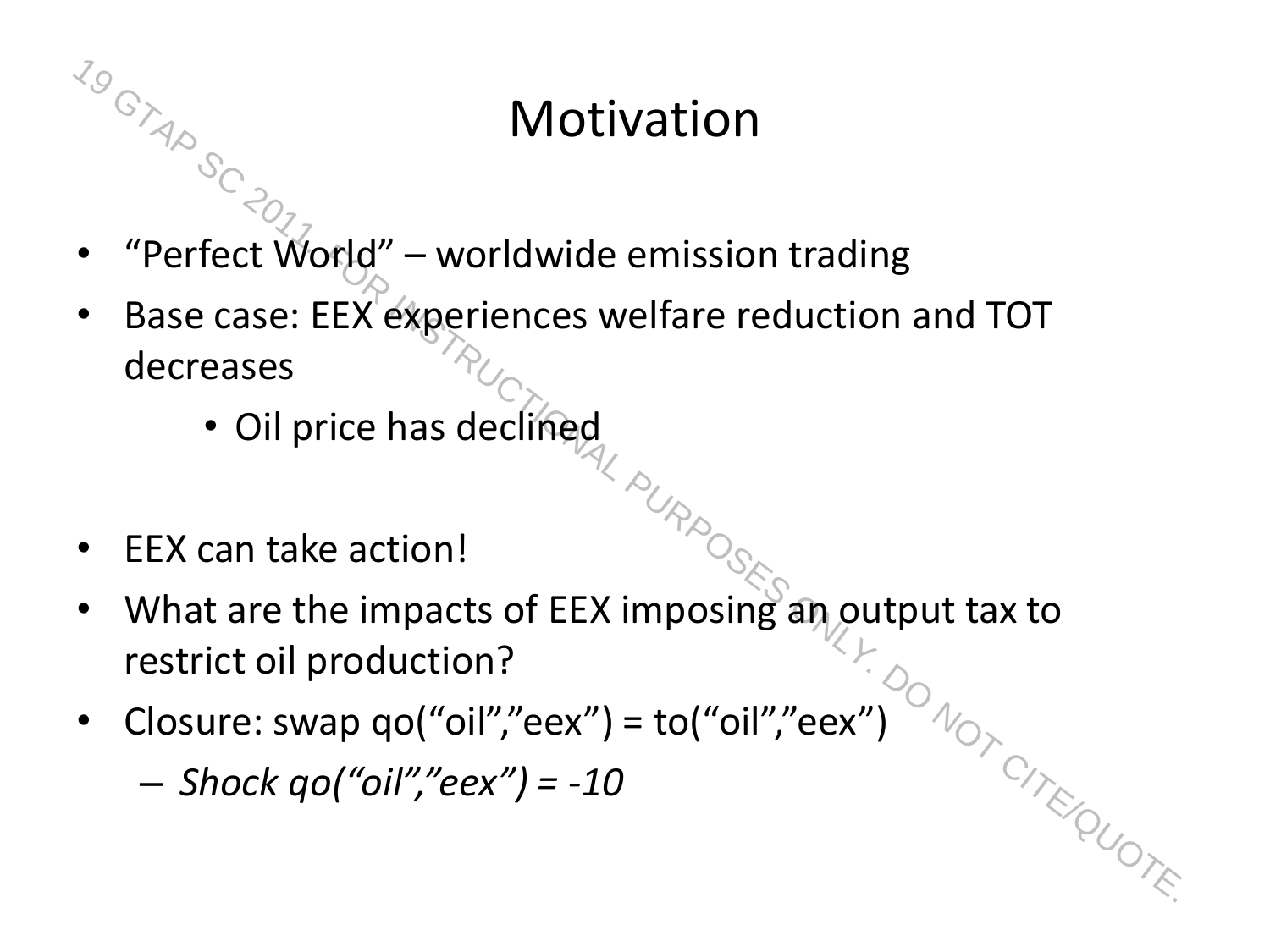#### Motivation

- $\frac{70}{18}$ <br>
 "Perfect World" worldwide emission trading
	- Base case: EEX experiences welfare reduction and TOT decreases
		- Oil price has declined
	- EEX can take action!
	- What are the impacts of EEX imposing an output tax to restrict oil production? **Sock of Perfect World" – worldwide emission trading**<br>
	• "Perfect World" – worldwide emission trading<br>
	• Base case: EEX experiences welfare reduction and TOT<br> **decreases**<br>
	• Oil price has declified<br>
	• EEX can take action!<br>
	- Closure: swap qo("oil","eex") = to("oil","eex")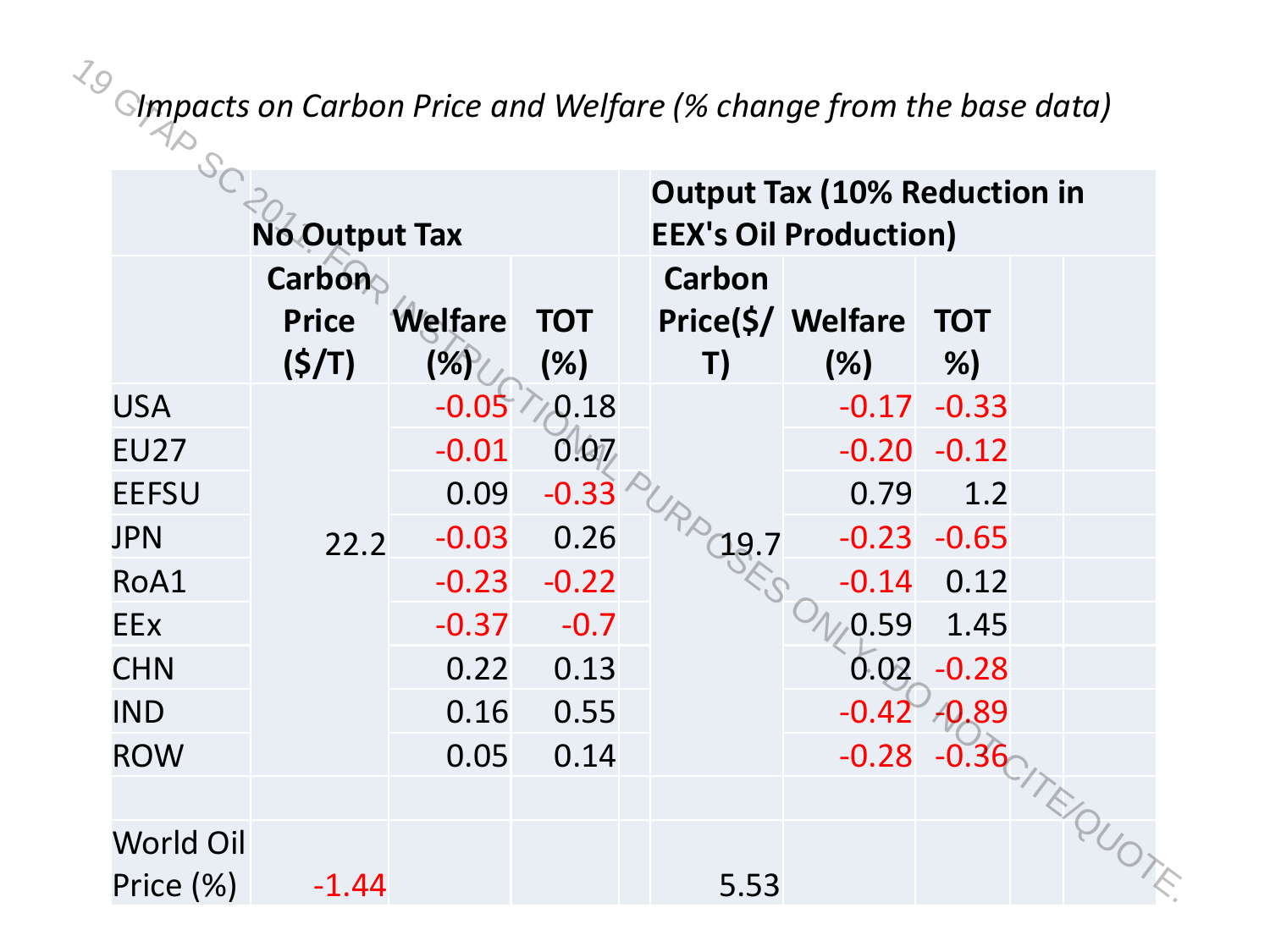|              | <b>No Output Tax</b>                   |                       |                   |              | <b>Output Tax (10% Reduction in</b><br><b>EEX's Oil Production)</b> |                           |  |
|--------------|----------------------------------------|-----------------------|-------------------|--------------|---------------------------------------------------------------------|---------------------------|--|
|              | <b>Carbon</b><br><b>Price</b><br>(S/T) | <b>Welfare</b><br>(%) | <b>TOT</b><br>(%) | Carbon<br>T) | Price(\$/ Welfare<br>(%)                                            | <b>TOT</b><br>%)          |  |
| <b>USA</b>   |                                        | $-0.05$               | 0.18              |              | $-0.17$                                                             | $-0.33$                   |  |
| <b>EU27</b>  |                                        | $-0.01$               | 0.07              |              | $-0.20$                                                             | $-0.12$                   |  |
| <b>EEFSU</b> |                                        | 0.09                  | $-0.33$           |              | 0.79                                                                | 1.2                       |  |
| <b>JPN</b>   | 22.2                                   | $-0.03$               | 0.26              | 19.7         | $-0.23$                                                             | $-0.65$                   |  |
| RoA1         |                                        | $-0.23$               | $-0.22$           |              | $-0.14$                                                             | 0.12                      |  |
| <b>EEx</b>   |                                        | $-0.37$               | $-0.7$            |              | 0.59                                                                | 1.45                      |  |
| <b>CHN</b>   |                                        | 0.22                  | 0.13              |              | 0.02                                                                | $-0.28$                   |  |
| <b>IND</b>   |                                        | 0.16                  | 0.55              |              | $-0.42$                                                             | $-0.89$                   |  |
| <b>ROW</b>   |                                        | 0.05                  | 0.14              |              | $-0.28$                                                             | <b>10-0.36</b> / TE OUDTE |  |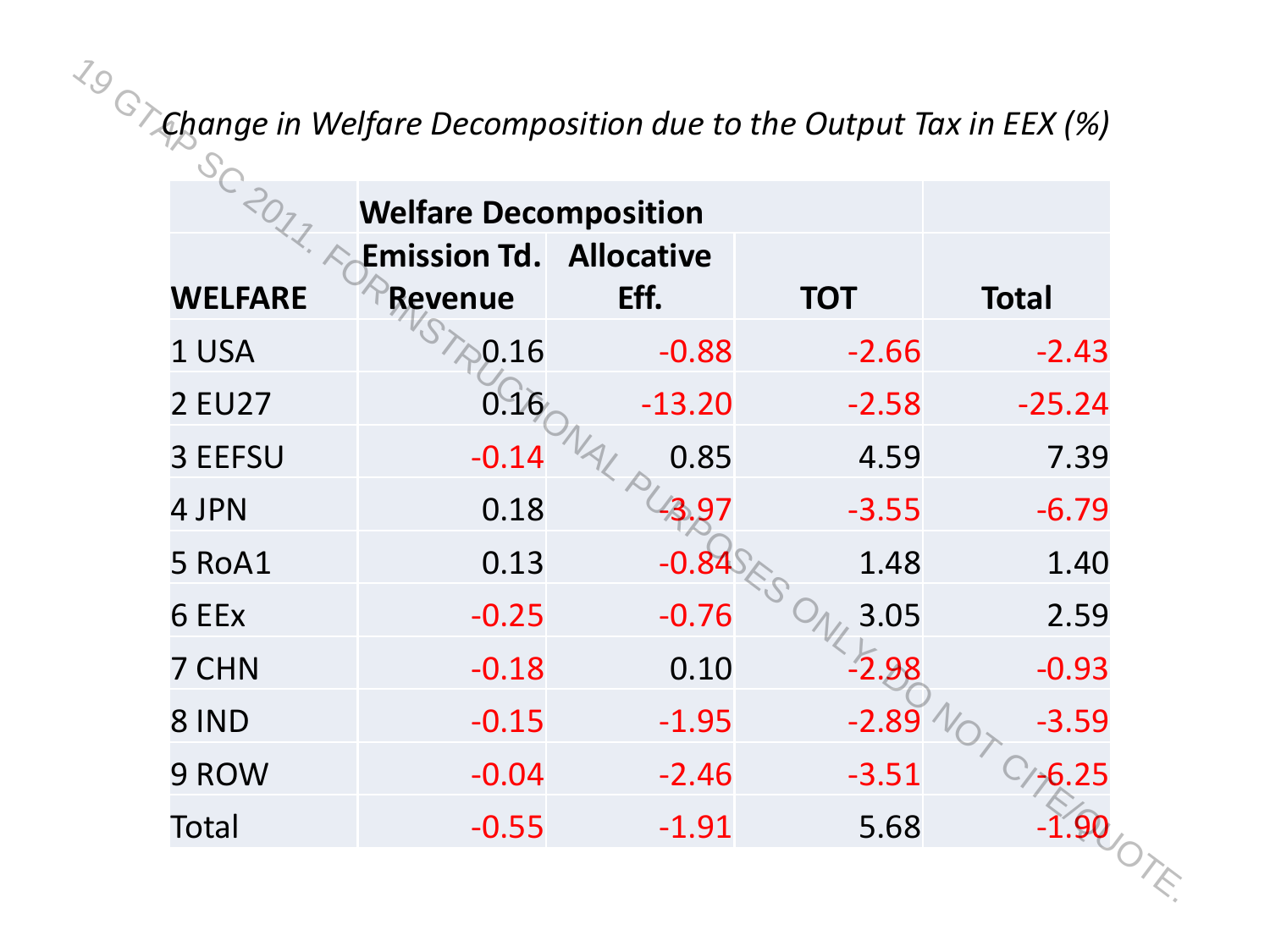|                | <b>Welfare Decomposition</b>   |          |            |              |
|----------------|--------------------------------|----------|------------|--------------|
|                | <b>Emission Td. Allocative</b> |          |            |              |
| <b>WELFARE</b> | <b>Revenue</b>                 | Eff.     | <b>TOT</b> | <b>Total</b> |
| 1 USA          | 0.16                           | $-0.88$  | $-2.66$    | $-2.43$      |
| 2 EU27         | 0.16                           | $-13.20$ | $-2.58$    | $-25.24$     |
| 3 EEFSU        | $-0.14$                        | 0.85     | 4.59       | 7.39         |
| 4 JPN          | 0.18                           | 3.97     | $-3.55$    | $-6.79$      |
| 5 RoA1         | 0.13                           | $-0.8$   | 1.48       | 1.40         |
| 6 EEx          | $-0.25$                        | $-0.76$  | 3.05       | 2.59         |
| 7 CHN          | $-0.18$                        | 0.10     | $-2.98$    | $-0.93$      |
| 8 IND          | $-0.15$                        | $-1.95$  | $-2.89$    | $-3.59$      |
| 9 ROW          | $-0.04$                        | $-2.46$  | $-3.51$    | $-6.25$      |
| Total          | $-0.55$                        | $-1.91$  | 5.68       |              |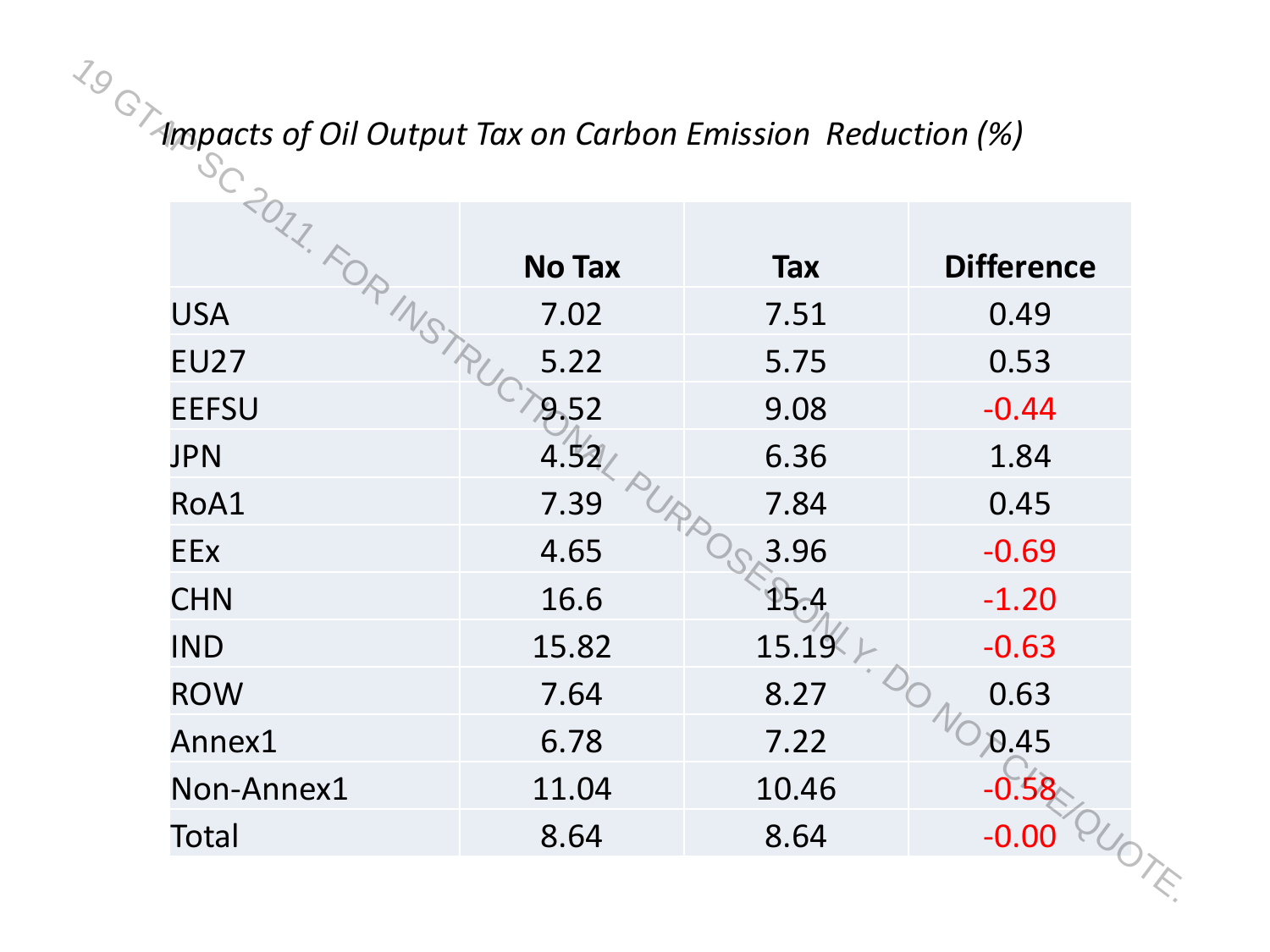#### *Impacts of Oil Output Tax on Carbon Emission Reduction (%)*

| $\frac{7}{3}$ $\odot$ ampacts of Oil Output Tax on Carbon Emission Reduction (%) |               |            |                   |
|----------------------------------------------------------------------------------|---------------|------------|-------------------|
| SC 2017-FOR MSTRUC                                                               | <b>No Tax</b> | <b>Tax</b> | <b>Difference</b> |
| <b>USA</b>                                                                       | 7.02          | 7.51       | 0.49              |
| <b>EU27</b>                                                                      | 5.22          | 5.75       | 0.53              |
| <b>EEFSU</b>                                                                     | 9.52          | 9.08       | $-0.44$           |
| <b>JPN</b>                                                                       | 4.52          | 6.36       | 1.84              |
| RoA1                                                                             | PURPO<br>7.39 | 7.84       | 0.45              |
| <b>EEx</b>                                                                       | 4.65          | 3.96       | $-0.69$           |
| <b>CHN</b>                                                                       | 16.6          | 15.4       | $-1.20$           |
| <b>IND</b>                                                                       | 15.82         | 15.19      | $-0.63$           |
| <b>ROW</b>                                                                       | 7.64          | 8.27       | 0.63              |
| Annex1                                                                           | 6.78          | 7.22       | $N_{0.45}$        |
| Non-Annex1                                                                       | 11.04         | 10.46      |                   |
| Total                                                                            | 8.64          | 8.64       | QUOTE<br>$-0.00$  |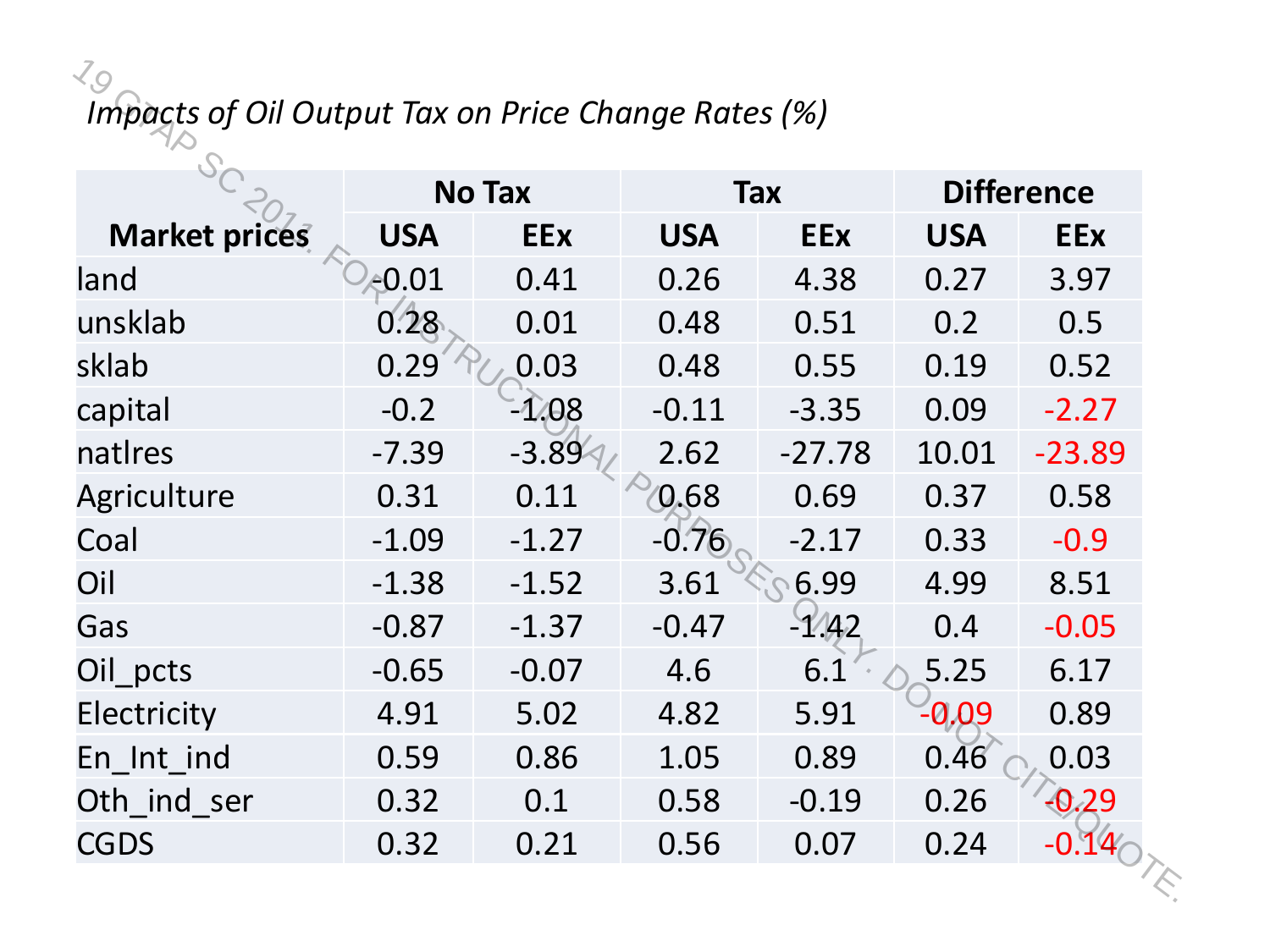#### *Impacts of Oil Output Tax on Price Change Rates (%)*

|                      | <b>No Tax</b> |            | <b>Tax</b> |            | <b>Difference</b> |            |
|----------------------|---------------|------------|------------|------------|-------------------|------------|
| <b>Market prices</b> | <b>USA</b>    | <b>EEx</b> | <b>USA</b> | <b>EEx</b> | <b>USA</b>        | <b>EEx</b> |
| land                 | $-0.01$       | 0.41       | 0.26       | 4.38       | 0.27              | 3.97       |
| unsklab              | 0.28          | 0.01       | 0.48       | 0.51       | 0.2               | 0.5        |
| sklab                | 0.29          | 0.03       | 0.48       | 0.55       | 0.19              | 0.52       |
| capital              | $-0.2$        | $-1.08$    | $-0.11$    | $-3.35$    | 0.09              | $-2.27$    |
| natires              | $-7.39$       | $-3.89$    | 2.62       | $-27.78$   | 10.01             | $-23.89$   |
| Agriculture          | 0.31          | 0.11       | 0.68       | 0.69       | 0.37              | 0.58       |
| Coal                 | $-1.09$       | $-1.27$    | $-0.76$    | $-2.17$    | 0.33              | $-0.9$     |
| Oil                  | $-1.38$       | $-1.52$    | 3.61       | 6.99       | 4.99              | 8.51       |
| Gas                  | $-0.87$       | $-1.37$    | $-0.47$    | $-1/42$    | 0.4               | $-0.05$    |
| Oil_pcts             | $-0.65$       | $-0.07$    | 4.6        | 6.1        | 5.25              | 6.17       |
| Electricity          | 4.91          | 5.02       | 4.82       | 5.91       | $-0.09$           | 0.89       |
| En_Int_ind           | 0.59          | 0.86       | 1.05       | 0.89       | 0.46              | 0.03       |
| Oth ind ser          | 0.32          | 0.1        | 0.58       | $-0.19$    | 0.26              | $-0.29$    |
| <b>CGDS</b>          | 0.32          | 0.21       | 0.56       | 0.07       | 0.24              |            |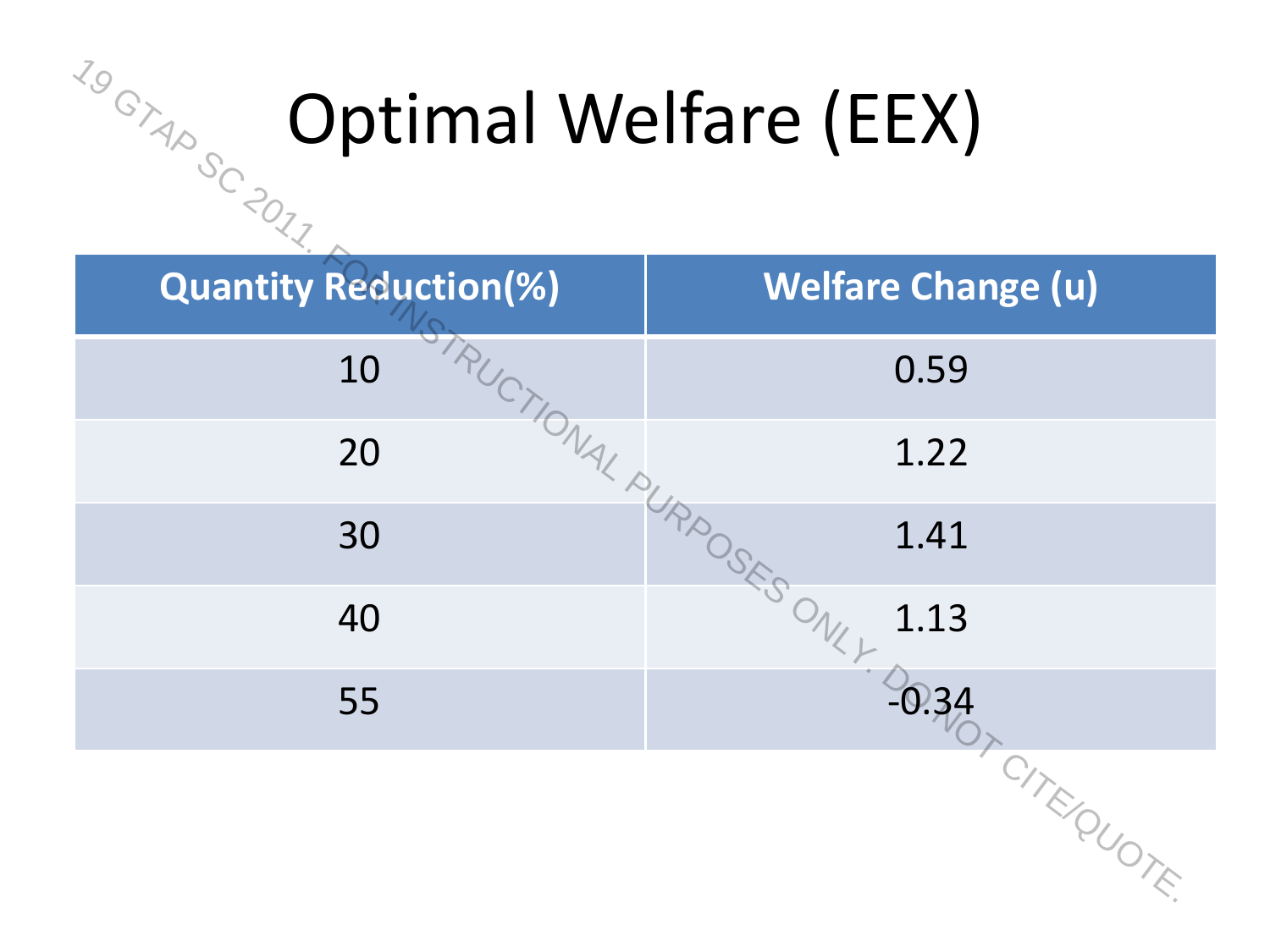#### Optimal Welfare (EEX)

| 1.9 GYAD SC 2011<br><b>Optimal Welfare (EEX)</b> |                                     |  |  |  |  |
|--------------------------------------------------|-------------------------------------|--|--|--|--|
| <b>Quantity Reduction(%)</b>                     | <b>Welfare Change (u)</b>           |  |  |  |  |
| 10                                               | 0.59                                |  |  |  |  |
| 20                                               | ISTRUCTIONAL PURPOSES ONLY.<br>1.22 |  |  |  |  |
| 30                                               | 1.41                                |  |  |  |  |
| 40                                               | 1.13                                |  |  |  |  |
| 55                                               |                                     |  |  |  |  |
|                                                  | <b>P.34 CITE OUDTE</b>              |  |  |  |  |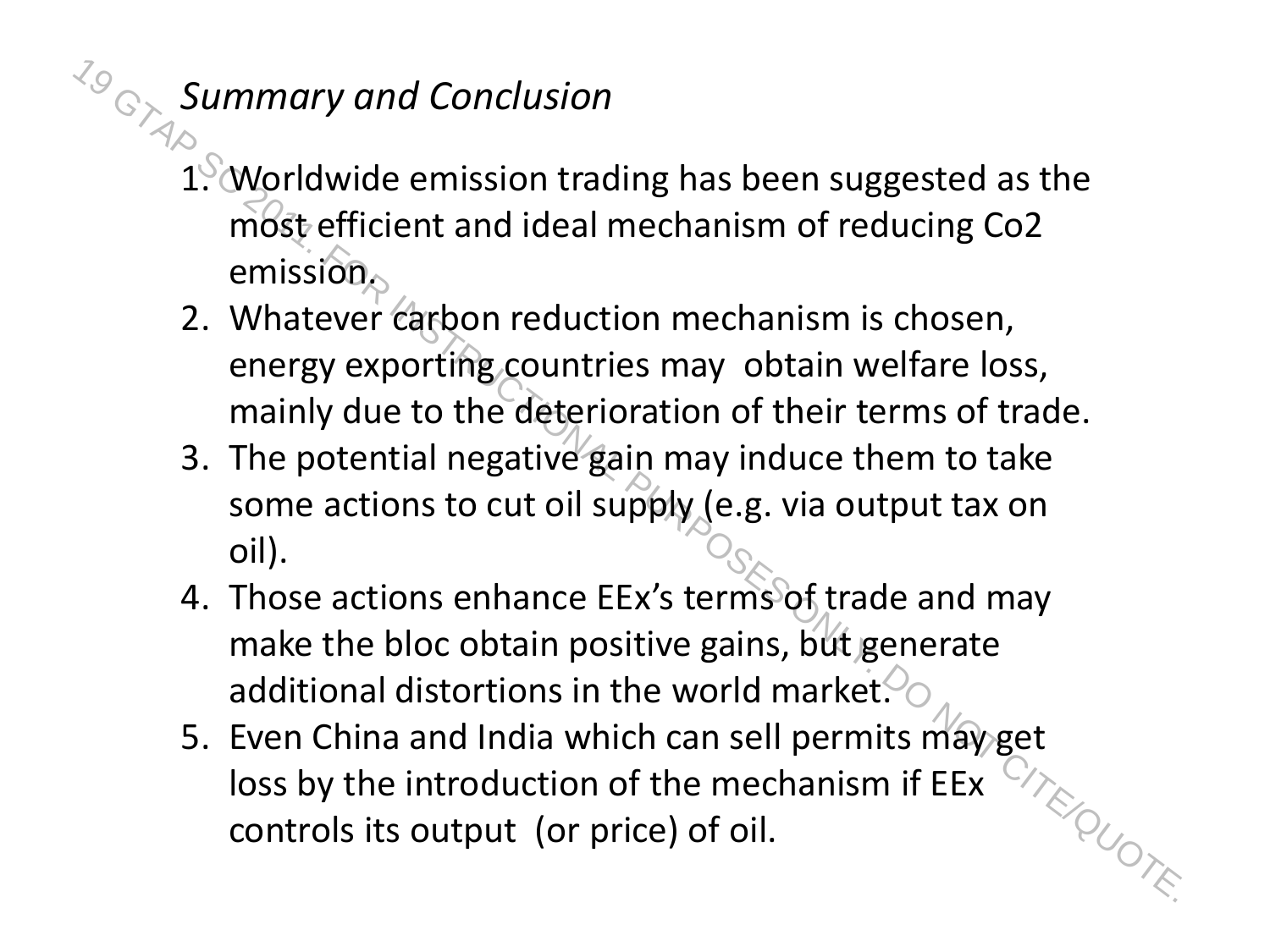#### *Summary and Conclusion*

- 1. Worldwide emission trading has been suggested as the most efficient and ideal mechanism of reducing Co2 emission. Controls ion trading has been suggested as the<br>
control of the mission of reducing Co2<br>
emission,<br>
2. Whatever capton reduction mechanism is chosen,<br>
energy exporting countries may obtain welfare loss,<br>
mainly due to the
	- 2. Whatever carbon reduction mechanism is chosen, energy exporting countries may obtain welfare loss, mainly due to the deterioration of their terms of trade.
	- 3. The potential negative gain may induce them to take some actions to cut oil supply (e.g. via output tax on oil).
	- 4. Those actions enhance EEx's terms of trade and may make the bloc obtain positive gains, but generate additional distortions in the world market.  $\%$
	- 5. Even China and India which can sell permits may get loss by the introduction of the mechanism if EEx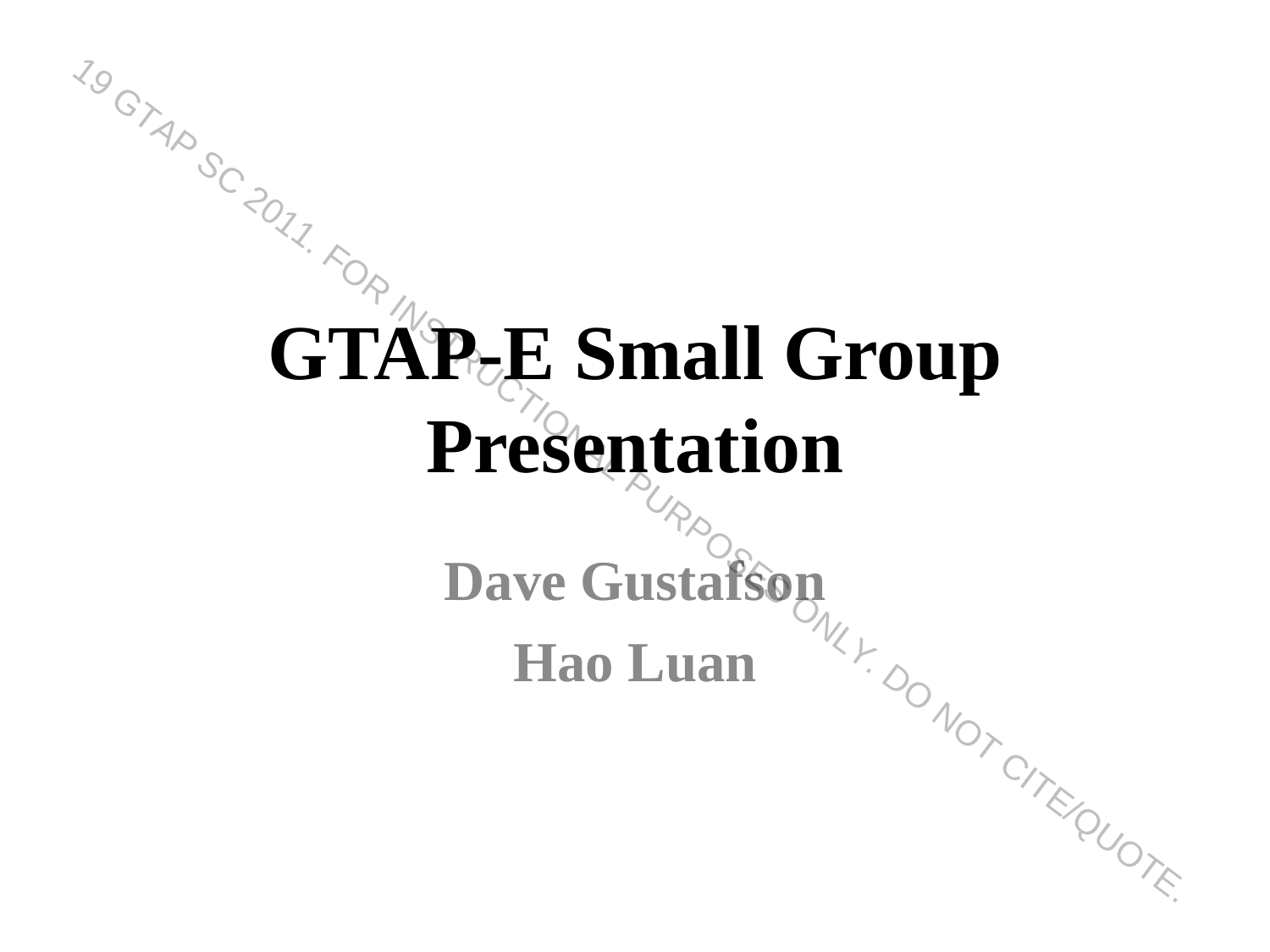### **GTAP-E Small Group Presentation CSCILLE CONCRETE DAVE GUSTAFSON**<br>Dave Gustafson **Hander Control CTAP-E Small Group<br>
Presentation<br>
Dave Gustafson<br>
Hao Luan<br>
Hao Luan**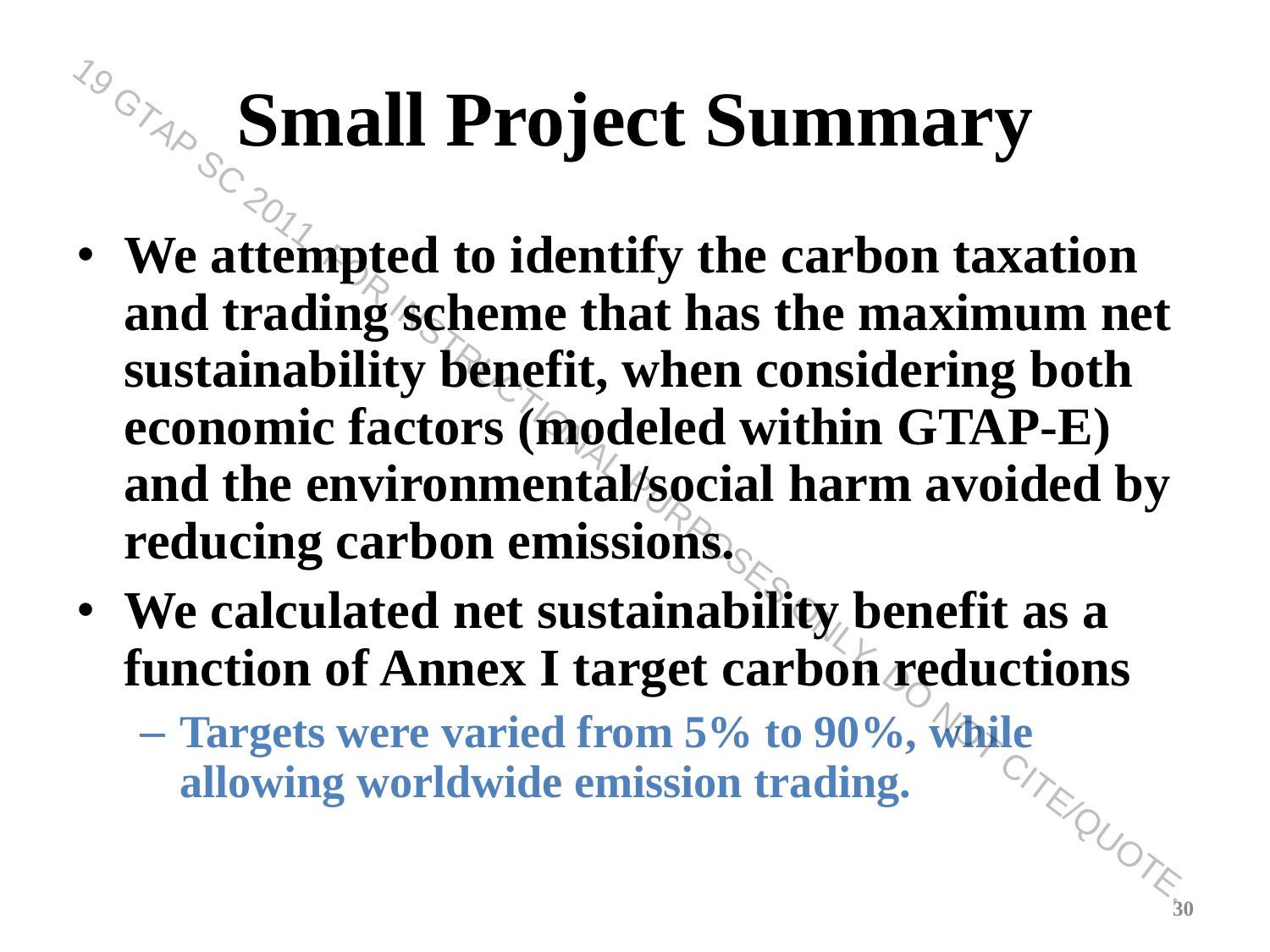#### **Small Project Summary**

- **We attempted to identify the carbon taxation and trading scheme that has the maximum net sustainability benefit, when considering both economic factors (modeled within GTAP-E) and the environmental/social harm avoided by reducing carbon emissions.** For the attempted to identify the carbon taxation<br>
and trading scheme that has the maximum net<br>
sustainability benefit, when considering both<br>
economic factors (modeled within GTAP-E)<br>
and the environmental/social harm av
- **We calculated net sustainability benefit as a function of Annex I target carbon reductions**
	- **Targets were varied from 5% to 90%, while allowing worldwide emission trading. SITE OUDTE 30**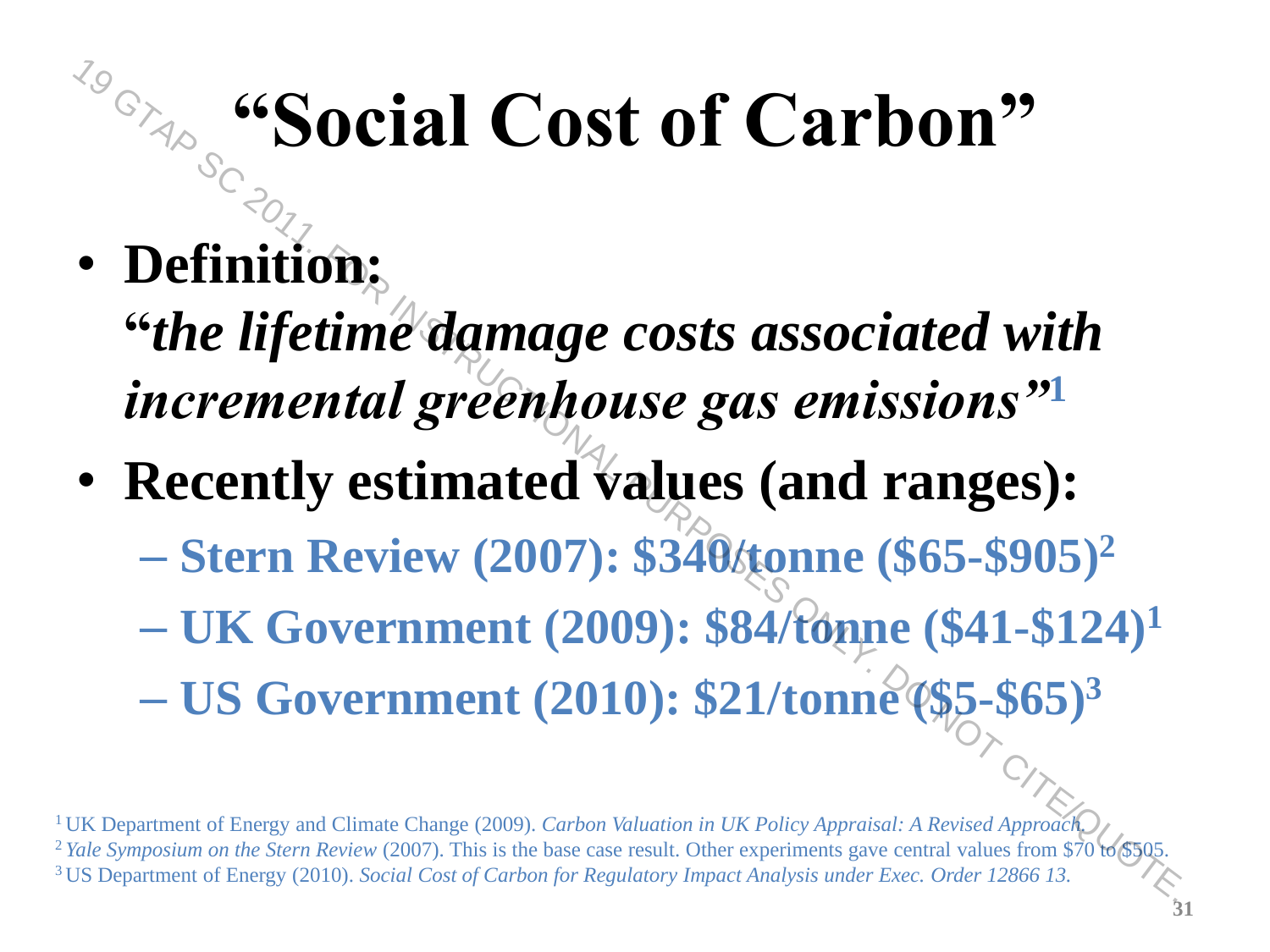#### **"Social Cost of Carbon"**

• **Definition:**

**"***the lifetime damage costs associated with incremental greenhouse gas emissions"***<sup>1</sup>** <sup>7.9</sup><br> **19 GTAP SOCIAl Cost of Carbon"**<br> **19 Continuition:**<br> **19 Continue damage costs associated with<br>
incremental greenhouse gas emissions"1<br>
<b>19 Recently estimated values (and ranges):**<br>
- Stern Review (2007): \$340<br> **1** 

• **Recently estimated values (and ranges):**

– **Stern Review (2007): \$340/tonne (\$65-\$905)<sup>2</sup>**

- **UK Government (2009): \$84/tonne (\$41-\$124)<sup>1</sup>**
- **US Government (2010): \$21/tonne (\$5-\$65)<sup>3</sup>**

<sup>1</sup>UK Department of Energy and Climate Change (2009). *Carbon Valuation in UK Policy Appraisal: A Revised Approach.* <sup>2</sup> Yale Symposium on the Stern Review (2007). This is the base case result. Other experiments gave central values from \$70 to <sup>3</sup>US Department of Energy (2010). *Social Cost of Carbon for Regulatory Impact Analysis under Exec. Order 12866 13.*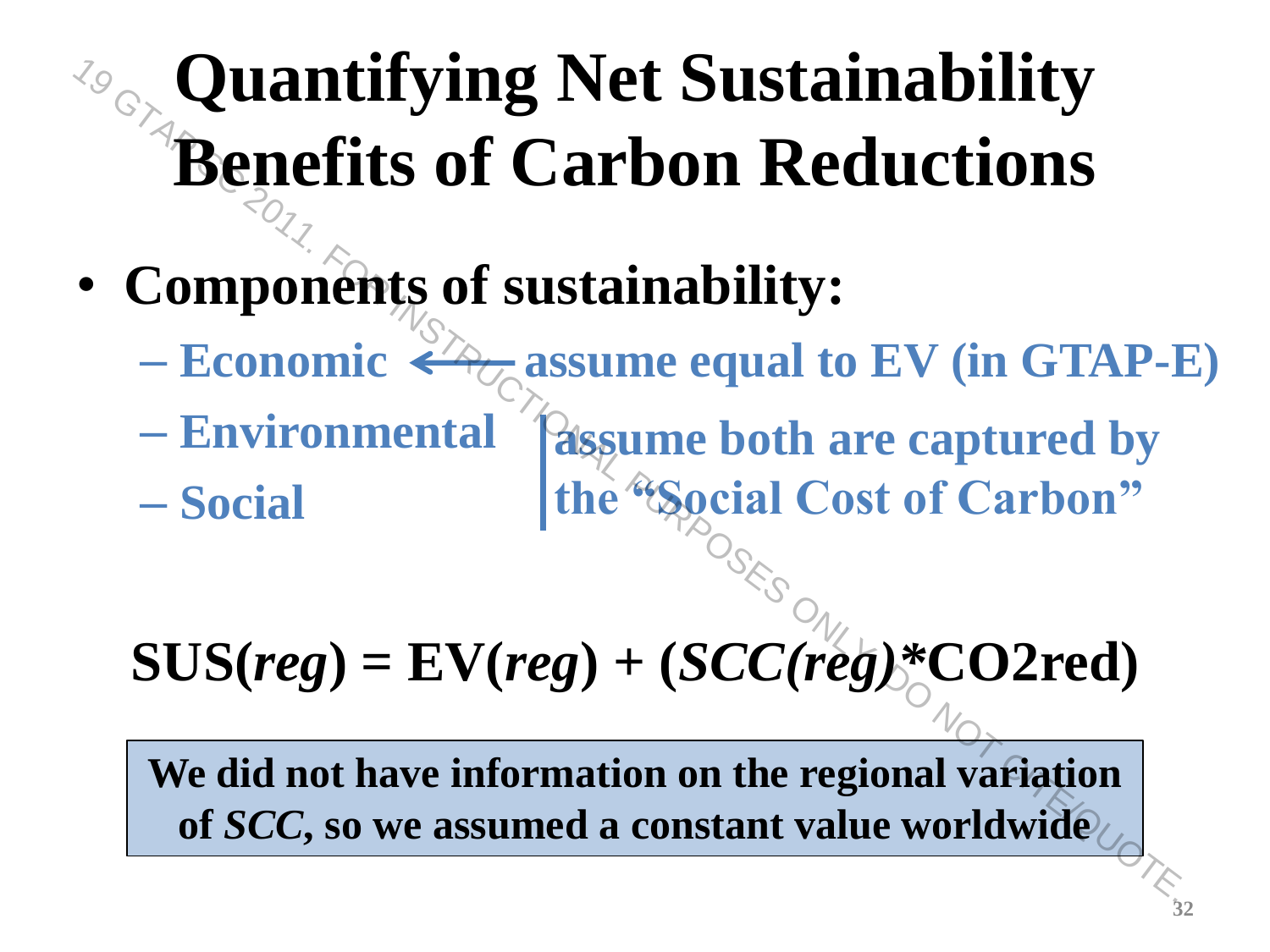# **Quantifying Net Sustainability Benefits of Carbon Reductions** For **Quantifying Net Sustainability**<br> **Benefits of Carbon Reductions**<br>
• Components of sustainability:<br>
- Economic  $\leftarrow \frac{1}{\frac{1}{2}}$  assume equal to EV (in GTAP-1<br>
- Environmental assume both are captured by<br>  $-$  Social

- **Components of sustainability:**
	- **Economic A<sub>C</sub>** assume equal to EV (in GTAP-E)
	- **Environmental assume both are captured by**
	- **Social the "Social Cost of Carbon"**

**SUS(***reg***) = EV(***reg***) + (***SCC(reg)\****CO2red)**

**We did not have information on the regional variation**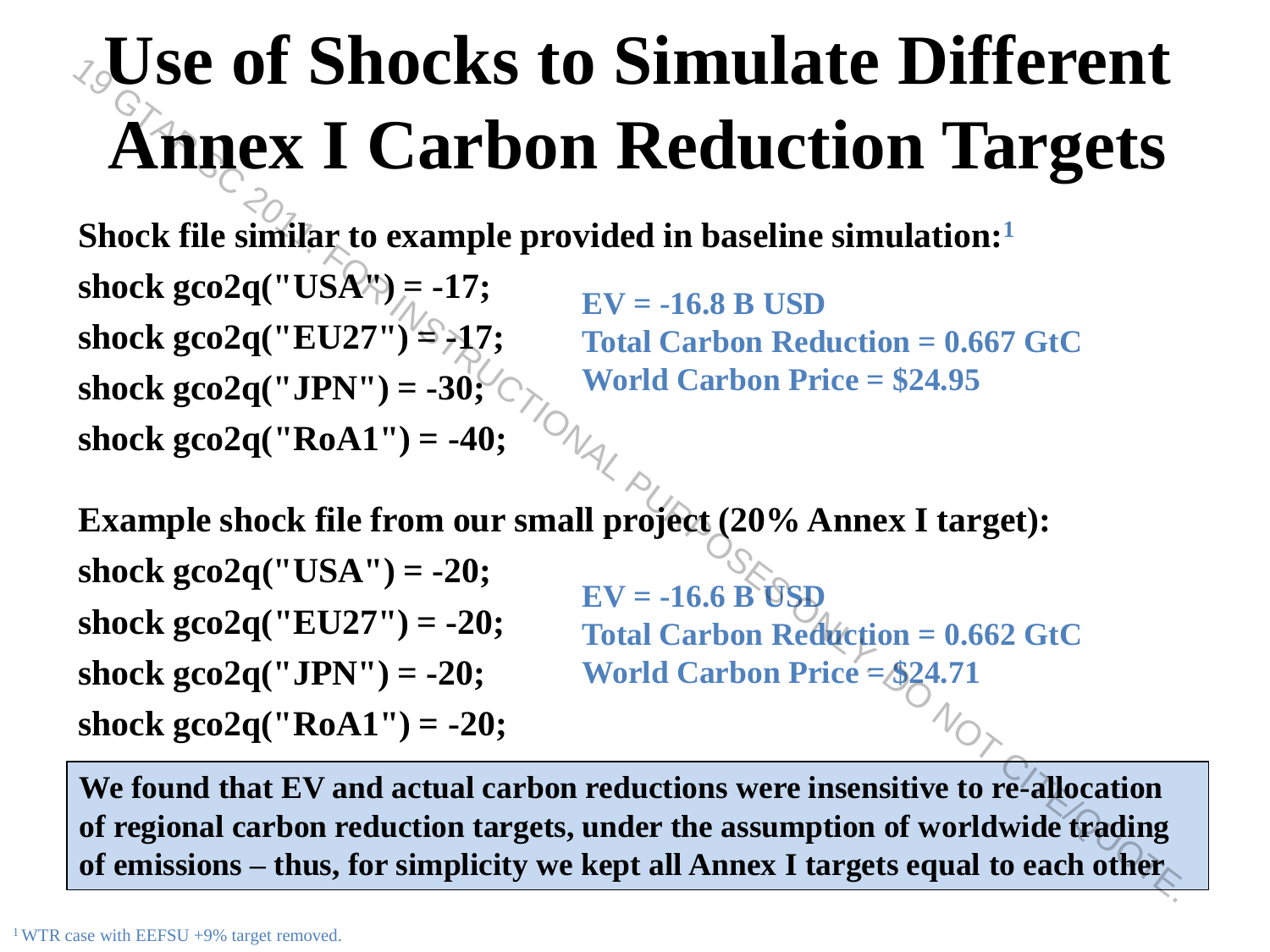#### **Use of Shocks to Simulate Different Annex I Carbon Reduction Targets**

**Shock file similar to example provided in baseline simulation:<sup>1</sup>**

**shock gco2q("USA") = -17; shock gco2q("EU27") = -17; shock gco2q("JPN") = -30; shock gco2q("RoA1") = -40;**

**EV = -16.8 B USD Total Carbon Reduction = 0.667 GtC World Carbon Price = \$24.95**

**Example shock file from our small project (20% Annex I target): shock gco2q("USA") = -20; shock gco2q("EU27") = -20; shock gco2q("JPN") = -20; shock gco2q("RoA1") = -20; EV = -16.6 B USD Total Carbon Reduction = 0.662 GtC World Carbon Price = \$24.71 The School School School School School School School School School School School School School School School School School School School School School School School School School School School School School School School** 

**We found that EV and actual carbon reductions were insensitive to re-allocation of regional carbon reduction targets, under the assumption of worldwide trading of emissions – thus, for simplicity we kept all Annex I targets equal to each other**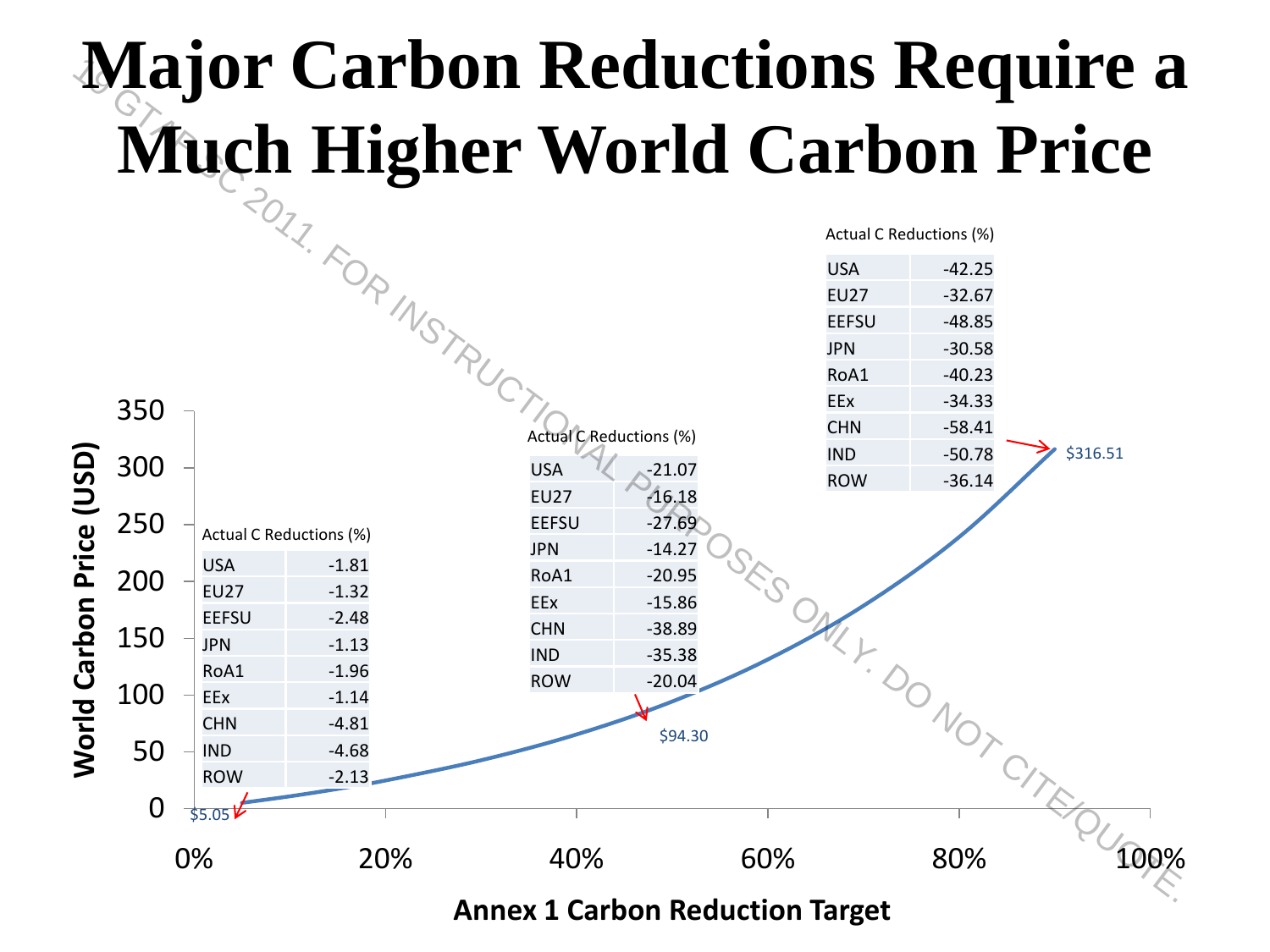#### **Major Carbon Reductions Require a**



**Annex 1 Carbon Reduction Target**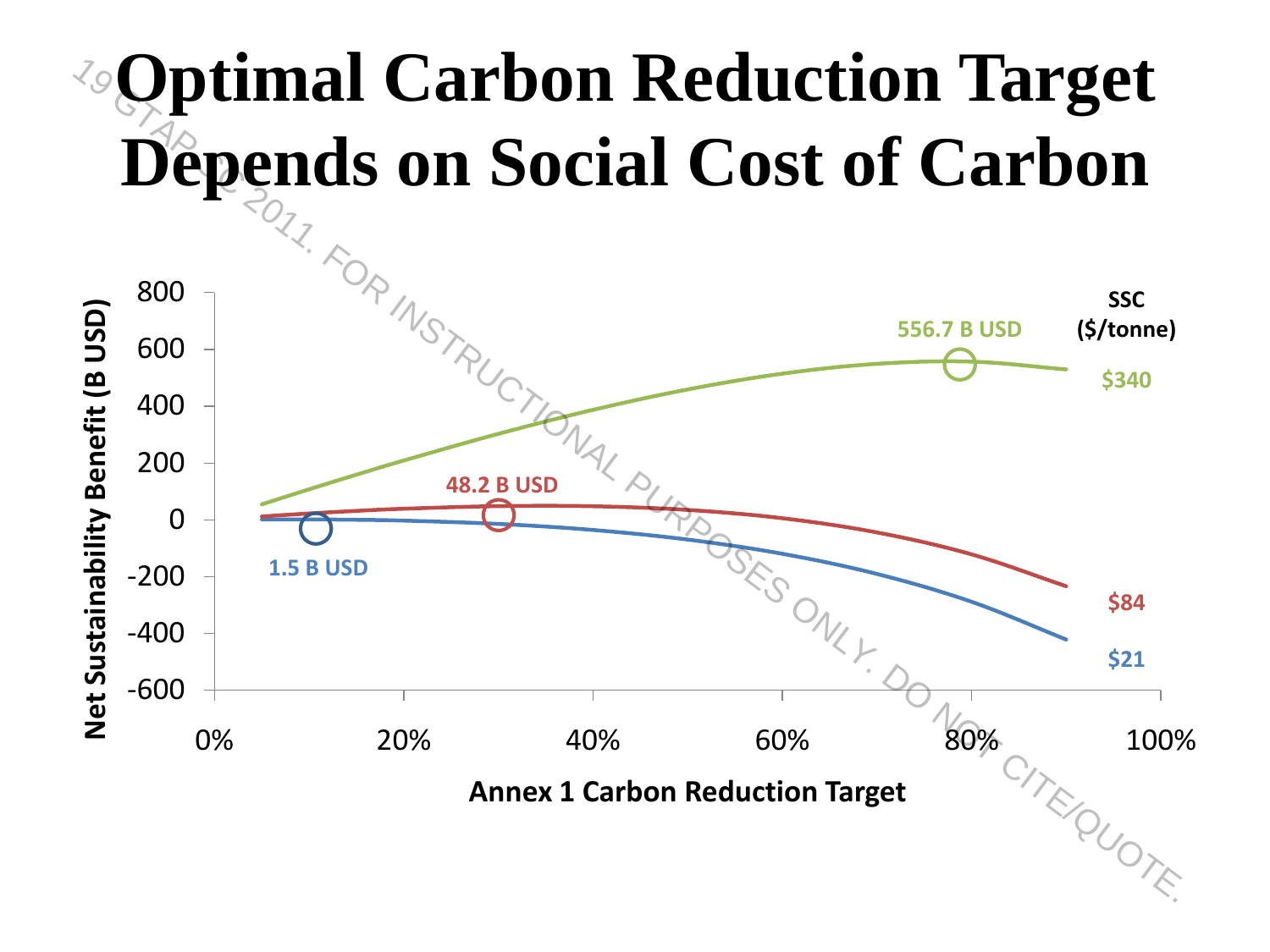#### **Optimal Carbon Reduction Target Depends on Social Cost of Carbon**

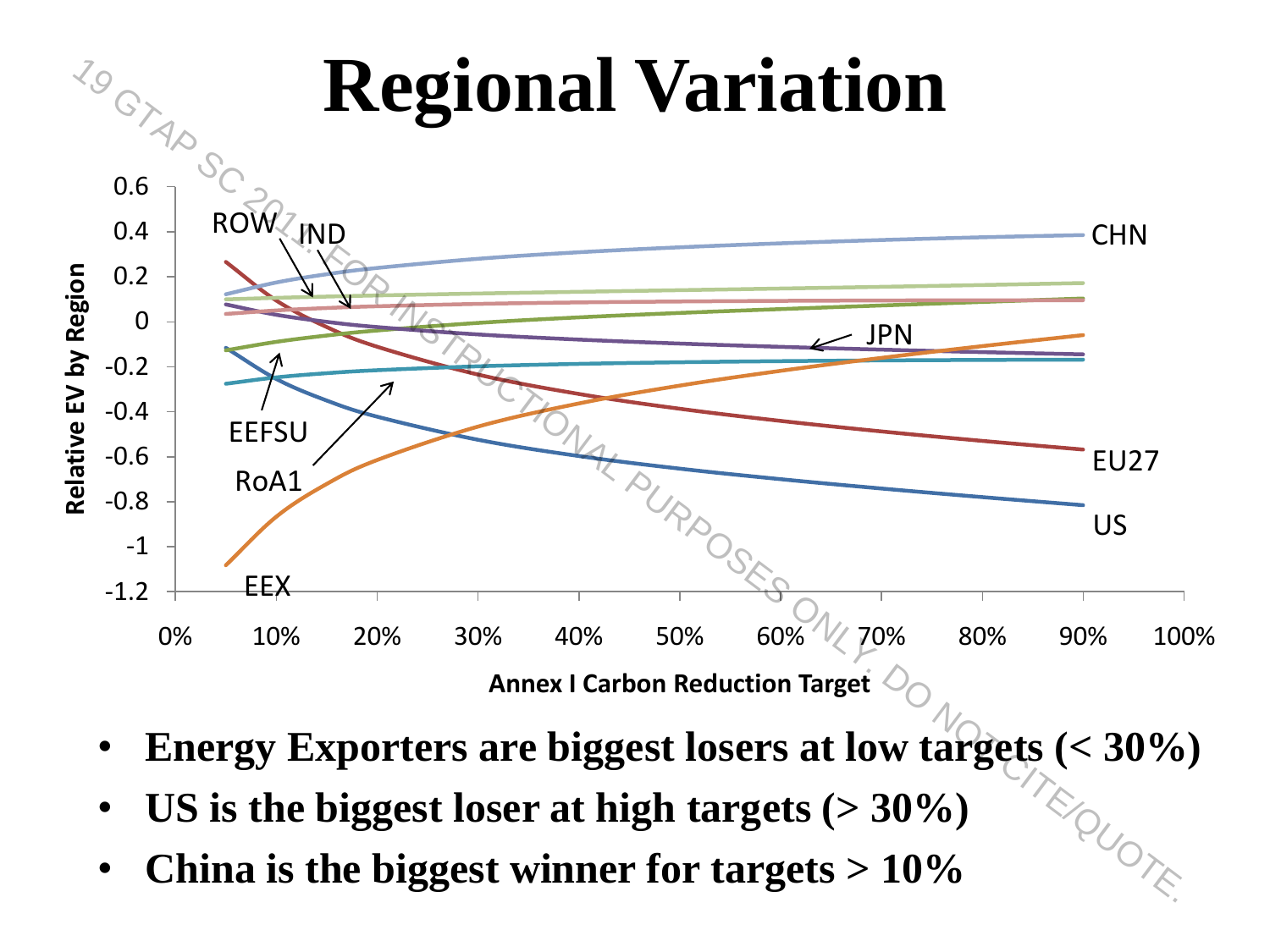

- **Energy Exporters are biggest losers at low targets (< 30%)**
- **US is the biggest loser at high targets (> 30%)**
-